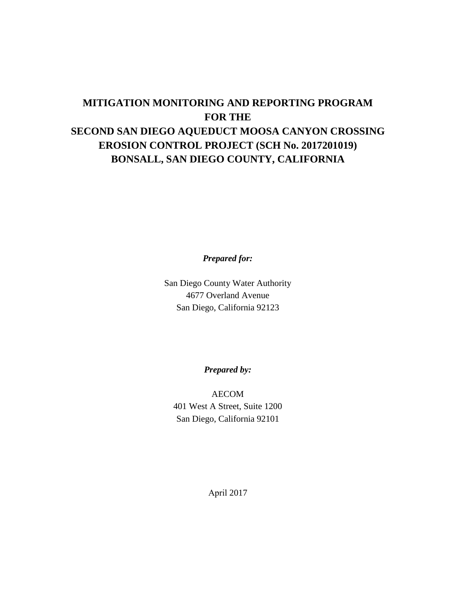## **MITIGATION MONITORING AND REPORTING PROGRAM FOR THE SECOND SAN DIEGO AQUEDUCT MOOSA CANYON CROSSING EROSION CONTROL PROJECT (SCH No. 2017201019) BONSALL, SAN DIEGO COUNTY, CALIFORNIA**

*Prepared for:* 

San Diego County Water Authority 4677 Overland Avenue San Diego, California 92123

*Prepared by:* 

AECOM 401 West A Street, Suite 1200 San Diego, California 92101

April 2017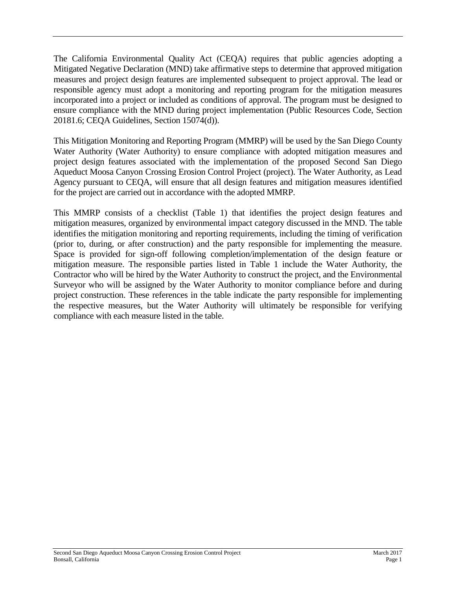The California Environmental Quality Act (CEQA) requires that public agencies adopting a Mitigated Negative Declaration (MND) take affirmative steps to determine that approved mitigation measures and project design features are implemented subsequent to project approval. The lead or responsible agency must adopt a monitoring and reporting program for the mitigation measures incorporated into a project or included as conditions of approval. The program must be designed to ensure compliance with the MND during project implementation (Public Resources Code, Section 20181.6; CEQA Guidelines, Section 15074(d)).

This Mitigation Monitoring and Reporting Program (MMRP) will be used by the San Diego County Water Authority (Water Authority) to ensure compliance with adopted mitigation measures and project design features associated with the implementation of the proposed Second San Diego Aqueduct Moosa Canyon Crossing Erosion Control Project (project). The Water Authority, as Lead Agency pursuant to CEQA, will ensure that all design features and mitigation measures identified for the project are carried out in accordance with the adopted MMRP.

This MMRP consists of a checklist (Table 1) that identifies the project design features and mitigation measures, organized by environmental impact category discussed in the MND. The table identifies the mitigation monitoring and reporting requirements, including the timing of verification (prior to, during, or after construction) and the party responsible for implementing the measure. Space is provided for sign-off following completion/implementation of the design feature or mitigation measure. The responsible parties listed in Table 1 include the Water Authority, the Contractor who will be hired by the Water Authority to construct the project, and the Environmental Surveyor who will be assigned by the Water Authority to monitor compliance before and during project construction. These references in the table indicate the party responsible for implementing the respective measures, but the Water Authority will ultimately be responsible for verifying compliance with each measure listed in the table.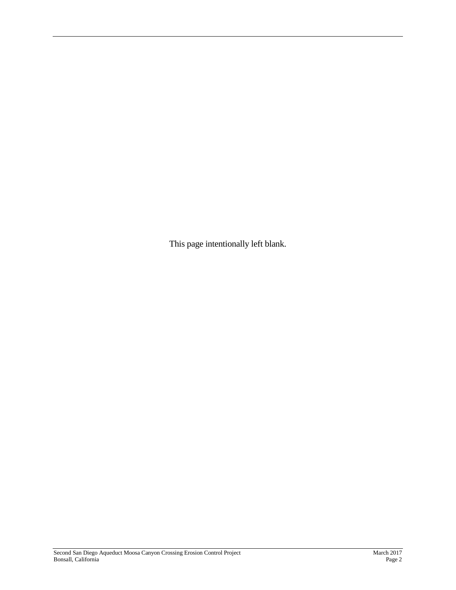This page intentionally left blank.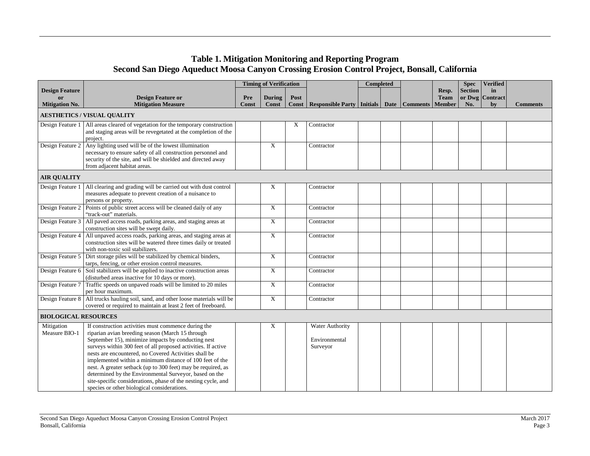## **Table 1. Mitigation Monitoring and Reporting Program Second San Diego Aqueduct Moosa Canyon Crossing Erosion Control Project, Bonsall, California**

|                             |                                                                                                                                  |       | <b>Timing of Verification</b> |      |                                                               | <b>Completed</b> |  |               | <b>Spec</b>    | <b>Verified</b> |                 |
|-----------------------------|----------------------------------------------------------------------------------------------------------------------------------|-------|-------------------------------|------|---------------------------------------------------------------|------------------|--|---------------|----------------|-----------------|-----------------|
| <b>Design Feature</b>       |                                                                                                                                  |       |                               |      |                                                               |                  |  | Resp.         | <b>Section</b> | in              |                 |
| or                          | <b>Design Feature or</b>                                                                                                         | Pre   | <b>During</b>                 | Post |                                                               |                  |  | <b>Team</b>   |                | or Dwg Contract |                 |
| <b>Mitigation No.</b>       | <b>Mitigation Measure</b>                                                                                                        | Const | <b>Const</b>                  |      | <b>Const   Responsible Party   Initials   Date   Comments</b> |                  |  | <b>Member</b> | No.            | by              | <b>Comments</b> |
|                             | <b>AESTHETICS / VISUAL QUALITY</b>                                                                                               |       |                               |      |                                                               |                  |  |               |                |                 |                 |
| Design Feature 1            | All areas cleared of vegetation for the temporary construction                                                                   |       |                               | X    | Contractor                                                    |                  |  |               |                |                 |                 |
|                             | and staging areas will be revegetated at the completion of the                                                                   |       |                               |      |                                                               |                  |  |               |                |                 |                 |
|                             | project.                                                                                                                         |       |                               |      |                                                               |                  |  |               |                |                 |                 |
| Design Feature 2            | Any lighting used will be of the lowest illumination                                                                             |       | X                             |      | Contractor                                                    |                  |  |               |                |                 |                 |
|                             | necessary to ensure safety of all construction personnel and                                                                     |       |                               |      |                                                               |                  |  |               |                |                 |                 |
|                             | security of the site, and will be shielded and directed away                                                                     |       |                               |      |                                                               |                  |  |               |                |                 |                 |
|                             | from adjacent habitat areas.                                                                                                     |       |                               |      |                                                               |                  |  |               |                |                 |                 |
| <b>AIR QUALITY</b>          |                                                                                                                                  |       |                               |      |                                                               |                  |  |               |                |                 |                 |
| Design Feature 1            | All clearing and grading will be carried out with dust control                                                                   |       | X                             |      | Contractor                                                    |                  |  |               |                |                 |                 |
|                             | measures adequate to prevent creation of a nuisance to                                                                           |       |                               |      |                                                               |                  |  |               |                |                 |                 |
|                             | persons or property.                                                                                                             |       |                               |      |                                                               |                  |  |               |                |                 |                 |
|                             | Design Feature 2   Points of public street access will be cleaned daily of any                                                   |       | X                             |      | Contractor                                                    |                  |  |               |                |                 |                 |
|                             | "track-out" materials.                                                                                                           |       |                               |      |                                                               |                  |  |               |                |                 |                 |
|                             | Design Feature 3 All paved access roads, parking areas, and staging areas at                                                     |       | $\mathbf X$                   |      | Contractor                                                    |                  |  |               |                |                 |                 |
|                             | construction sites will be swept daily.                                                                                          |       |                               |      |                                                               |                  |  |               |                |                 |                 |
| Design Feature 4            | All unpaved access roads, parking areas, and staging areas at<br>construction sites will be watered three times daily or treated |       | X                             |      | Contractor                                                    |                  |  |               |                |                 |                 |
|                             | with non-toxic soil stabilizers.                                                                                                 |       |                               |      |                                                               |                  |  |               |                |                 |                 |
|                             | Design Feature 5 Dirt storage piles will be stabilized by chemical binders,                                                      |       | X                             |      | Contractor                                                    |                  |  |               |                |                 |                 |
|                             | tarps, fencing, or other erosion control measures.                                                                               |       |                               |      |                                                               |                  |  |               |                |                 |                 |
| Design Feature 6            | Soil stabilizers will be applied to inactive construction areas                                                                  |       | $\mathbf X$                   |      | Contractor                                                    |                  |  |               |                |                 |                 |
|                             | (disturbed areas inactive for 10 days or more).                                                                                  |       |                               |      |                                                               |                  |  |               |                |                 |                 |
| Design Feature 7            | Traffic speeds on unpaved roads will be limited to 20 miles                                                                      |       | X                             |      | Contractor                                                    |                  |  |               |                |                 |                 |
|                             | per hour maximum.                                                                                                                |       |                               |      |                                                               |                  |  |               |                |                 |                 |
|                             | Design Feature 8 All trucks hauling soil, sand, and other loose materials will be                                                |       | $\overline{X}$                |      | Contractor                                                    |                  |  |               |                |                 |                 |
|                             | covered or required to maintain at least 2 feet of freeboard.                                                                    |       |                               |      |                                                               |                  |  |               |                |                 |                 |
| <b>BIOLOGICAL RESOURCES</b> |                                                                                                                                  |       |                               |      |                                                               |                  |  |               |                |                 |                 |
| Mitigation                  | If construction activities must commence during the                                                                              |       | X                             |      | Water Authority                                               |                  |  |               |                |                 |                 |
| Measure BIO-1               | riparian avian breeding season (March 15 through                                                                                 |       |                               |      |                                                               |                  |  |               |                |                 |                 |
|                             | September 15), minimize impacts by conducting nest                                                                               |       |                               |      | Environmental                                                 |                  |  |               |                |                 |                 |
|                             | surveys within 300 feet of all proposed activities. If active                                                                    |       |                               |      | Surveyor                                                      |                  |  |               |                |                 |                 |
|                             | nests are encountered, no Covered Activities shall be                                                                            |       |                               |      |                                                               |                  |  |               |                |                 |                 |
|                             | implemented within a minimum distance of 100 feet of the                                                                         |       |                               |      |                                                               |                  |  |               |                |                 |                 |
|                             | nest. A greater setback (up to 300 feet) may be required, as                                                                     |       |                               |      |                                                               |                  |  |               |                |                 |                 |
|                             | determined by the Environmental Surveyor, based on the                                                                           |       |                               |      |                                                               |                  |  |               |                |                 |                 |
|                             | site-specific considerations, phase of the nesting cycle, and                                                                    |       |                               |      |                                                               |                  |  |               |                |                 |                 |
|                             | species or other biological considerations.                                                                                      |       |                               |      |                                                               |                  |  |               |                |                 |                 |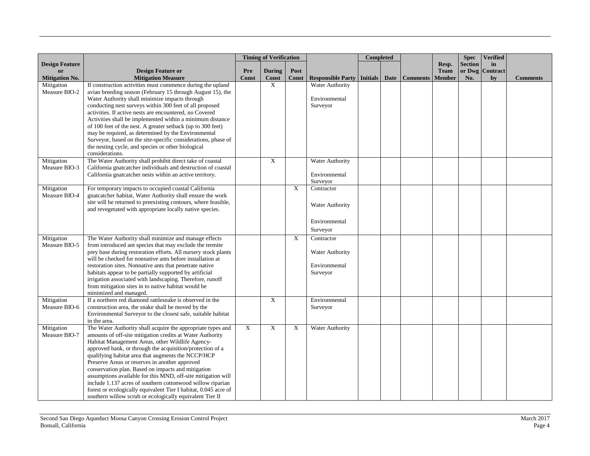|                             |                                                                                                                            |       | <b>Timing of Verification</b> |       |                           | <b>Completed</b> |             |                 |               | <b>Spec</b>    | <b>Verified</b> |                 |
|-----------------------------|----------------------------------------------------------------------------------------------------------------------------|-------|-------------------------------|-------|---------------------------|------------------|-------------|-----------------|---------------|----------------|-----------------|-----------------|
| <b>Design Feature</b>       |                                                                                                                            |       |                               |       |                           |                  |             |                 | Resp.         | <b>Section</b> | in              |                 |
| or                          | <b>Design Feature or</b>                                                                                                   | Pre   | <b>During</b>                 | Post  |                           |                  |             |                 | <b>Team</b>   | or Dwg         | <b>Contract</b> |                 |
| <b>Mitigation No.</b>       | <b>Mitigation Measure</b>                                                                                                  | Const | <b>Const</b>                  | Const | <b>Responsible Party</b>  | <b>Initials</b>  | <b>Date</b> | <b>Comments</b> | <b>Member</b> | No.            | by              | <b>Comments</b> |
| Mitigation                  | If construction activities must commence during the upland                                                                 |       | X                             |       | <b>Water Authority</b>    |                  |             |                 |               |                |                 |                 |
| Measure BIO-2               | avian breeding season (February 15 through August 15), the                                                                 |       |                               |       | Environmental             |                  |             |                 |               |                |                 |                 |
|                             | Water Authority shall minimize impacts through<br>conducting nest surveys within 300 feet of all proposed                  |       |                               |       | Surveyor                  |                  |             |                 |               |                |                 |                 |
|                             | activities. If active nests are encountered, no Covered                                                                    |       |                               |       |                           |                  |             |                 |               |                |                 |                 |
|                             | Activities shall be implemented within a minimum distance                                                                  |       |                               |       |                           |                  |             |                 |               |                |                 |                 |
|                             | of 100 feet of the nest. A greater setback (up to 300 feet)                                                                |       |                               |       |                           |                  |             |                 |               |                |                 |                 |
|                             | may be required, as determined by the Environmental                                                                        |       |                               |       |                           |                  |             |                 |               |                |                 |                 |
|                             | Surveyor, based on the site-specific considerations, phase of                                                              |       |                               |       |                           |                  |             |                 |               |                |                 |                 |
|                             | the nesting cycle, and species or other biological                                                                         |       |                               |       |                           |                  |             |                 |               |                |                 |                 |
|                             | considerations.                                                                                                            |       |                               |       |                           |                  |             |                 |               |                |                 |                 |
| Mitigation<br>Measure BIO-3 | The Water Authority shall prohibit direct take of coastal<br>California gnatcatcher individuals and destruction of coastal |       | $\mathbf X$                   |       | Water Authority           |                  |             |                 |               |                |                 |                 |
|                             | California gnatcatcher nests within an active territory.                                                                   |       |                               |       | Environmental             |                  |             |                 |               |                |                 |                 |
|                             |                                                                                                                            |       |                               |       | Surveyor                  |                  |             |                 |               |                |                 |                 |
| Mitigation                  | For temporary impacts to occupied coastal California                                                                       |       |                               | X     | Contractor                |                  |             |                 |               |                |                 |                 |
| Measure BIO-4               | gnatcatcher habitat, Water Authority shall ensure the work                                                                 |       |                               |       |                           |                  |             |                 |               |                |                 |                 |
|                             | site will be returned to preexisting contours, where feasible,                                                             |       |                               |       | Water Authority           |                  |             |                 |               |                |                 |                 |
|                             | and revegetated with appropriate locally native species.                                                                   |       |                               |       |                           |                  |             |                 |               |                |                 |                 |
|                             |                                                                                                                            |       |                               |       | Environmental             |                  |             |                 |               |                |                 |                 |
|                             |                                                                                                                            |       |                               |       |                           |                  |             |                 |               |                |                 |                 |
|                             | The Water Authority shall minimize and manage effects                                                                      |       |                               | X     | Surveyor                  |                  |             |                 |               |                |                 |                 |
| Mitigation<br>Measure BIO-5 | from introduced ant species that may exclude the termite                                                                   |       |                               |       | Contractor                |                  |             |                 |               |                |                 |                 |
|                             | prey base during restoration efforts. All nursery stock plants                                                             |       |                               |       | Water Authority           |                  |             |                 |               |                |                 |                 |
|                             | will be checked for nonnative ants before installation at                                                                  |       |                               |       |                           |                  |             |                 |               |                |                 |                 |
|                             | restoration sites. Nonnative ants that penetrate native                                                                    |       |                               |       | Environmental             |                  |             |                 |               |                |                 |                 |
|                             | habitats appear to be partially supported by artificial                                                                    |       |                               |       | Surveyor                  |                  |             |                 |               |                |                 |                 |
|                             | irrigation associated with landscaping. Therefore, runoff                                                                  |       |                               |       |                           |                  |             |                 |               |                |                 |                 |
|                             | from mitigation sites in to native habitat would be                                                                        |       |                               |       |                           |                  |             |                 |               |                |                 |                 |
| Mitigation                  | minimized and managed.<br>If a northern red diamond rattlesnake is observed in the                                         |       | X                             |       |                           |                  |             |                 |               |                |                 |                 |
| Measure BIO-6               | construction area, the snake shall be moved by the                                                                         |       |                               |       | Environmental<br>Surveyor |                  |             |                 |               |                |                 |                 |
|                             | Environmental Surveyor to the closest safe, suitable habitat                                                               |       |                               |       |                           |                  |             |                 |               |                |                 |                 |
|                             | in the area.                                                                                                               |       |                               |       |                           |                  |             |                 |               |                |                 |                 |
| Mitigation                  | The Water Authority shall acquire the appropriate types and                                                                | X     | X                             | X     | Water Authority           |                  |             |                 |               |                |                 |                 |
| Measure BIO-7               | amounts of off-site mitigation credits at Water Authority                                                                  |       |                               |       |                           |                  |             |                 |               |                |                 |                 |
|                             | Habitat Management Areas, other Wildlife Agency-                                                                           |       |                               |       |                           |                  |             |                 |               |                |                 |                 |
|                             | approved bank, or through the acquisition/protection of a<br>qualifying habitat area that augments the NCCP/HCP            |       |                               |       |                           |                  |             |                 |               |                |                 |                 |
|                             | Preserve Areas or reserves in another approved                                                                             |       |                               |       |                           |                  |             |                 |               |                |                 |                 |
|                             | conservation plan. Based on impacts and mitigation                                                                         |       |                               |       |                           |                  |             |                 |               |                |                 |                 |
|                             | assumptions available for this MND, off-site mitigation will                                                               |       |                               |       |                           |                  |             |                 |               |                |                 |                 |
|                             | include 1.137 acres of southern cottonwood willow riparian                                                                 |       |                               |       |                           |                  |             |                 |               |                |                 |                 |
|                             | forest or ecologically equivalent Tier I habitat, 0.045 acre of                                                            |       |                               |       |                           |                  |             |                 |               |                |                 |                 |
|                             | southern willow scrub or ecologically equivalent Tier II                                                                   |       |                               |       |                           |                  |             |                 |               |                |                 |                 |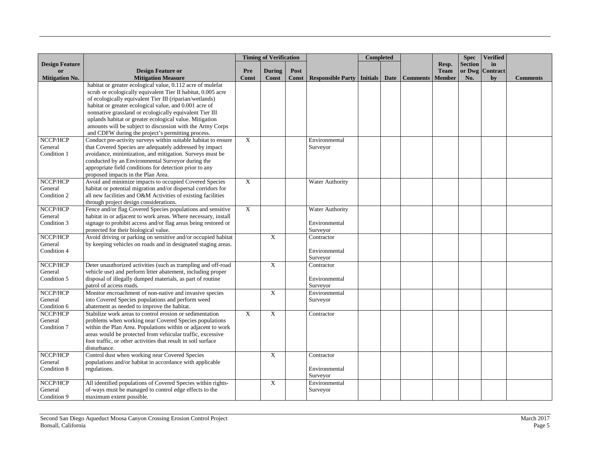|                                                                                                                                                                                                                       |                                                                                                                                                                                                                                                                                                                                                                                                                                                                                                                                                                                                                                                                                                                                                                                                                                                                                                                                                                                                                                                                       |                | <b>Timing of Verification</b> |              |                                                                                                                                                                                                     | <b>Completed</b> |             |                 |               | <b>Spec</b>    | <b>Verified</b> |                 |
|-----------------------------------------------------------------------------------------------------------------------------------------------------------------------------------------------------------------------|-----------------------------------------------------------------------------------------------------------------------------------------------------------------------------------------------------------------------------------------------------------------------------------------------------------------------------------------------------------------------------------------------------------------------------------------------------------------------------------------------------------------------------------------------------------------------------------------------------------------------------------------------------------------------------------------------------------------------------------------------------------------------------------------------------------------------------------------------------------------------------------------------------------------------------------------------------------------------------------------------------------------------------------------------------------------------|----------------|-------------------------------|--------------|-----------------------------------------------------------------------------------------------------------------------------------------------------------------------------------------------------|------------------|-------------|-----------------|---------------|----------------|-----------------|-----------------|
| <b>Design Feature</b>                                                                                                                                                                                                 |                                                                                                                                                                                                                                                                                                                                                                                                                                                                                                                                                                                                                                                                                                                                                                                                                                                                                                                                                                                                                                                                       |                |                               |              |                                                                                                                                                                                                     |                  |             |                 | Resp.         | <b>Section</b> | in              |                 |
| or                                                                                                                                                                                                                    | <b>Design Feature or</b>                                                                                                                                                                                                                                                                                                                                                                                                                                                                                                                                                                                                                                                                                                                                                                                                                                                                                                                                                                                                                                              | Pre            | <b>During</b>                 | Post         |                                                                                                                                                                                                     |                  |             |                 | <b>Team</b>   | or Dwg         | Contract        |                 |
| <b>Mitigation No.</b>                                                                                                                                                                                                 | <b>Mitigation Measure</b>                                                                                                                                                                                                                                                                                                                                                                                                                                                                                                                                                                                                                                                                                                                                                                                                                                                                                                                                                                                                                                             | Const          | <b>Const</b>                  | <b>Const</b> | <b>Responsible Party Initials</b>                                                                                                                                                                   |                  | <b>Date</b> | <b>Comments</b> | <b>Member</b> | No.            | by              | <b>Comments</b> |
|                                                                                                                                                                                                                       | habitat or greater ecological value, 0.112 acre of mulefat                                                                                                                                                                                                                                                                                                                                                                                                                                                                                                                                                                                                                                                                                                                                                                                                                                                                                                                                                                                                            |                |                               |              |                                                                                                                                                                                                     |                  |             |                 |               |                |                 |                 |
|                                                                                                                                                                                                                       | scrub or ecologically equivalent Tier II habitat, 0.005 acre                                                                                                                                                                                                                                                                                                                                                                                                                                                                                                                                                                                                                                                                                                                                                                                                                                                                                                                                                                                                          |                |                               |              |                                                                                                                                                                                                     |                  |             |                 |               |                |                 |                 |
|                                                                                                                                                                                                                       | of ecologically equivalent Tier III (riparian/wetlands)                                                                                                                                                                                                                                                                                                                                                                                                                                                                                                                                                                                                                                                                                                                                                                                                                                                                                                                                                                                                               |                |                               |              |                                                                                                                                                                                                     |                  |             |                 |               |                |                 |                 |
|                                                                                                                                                                                                                       | habitat or greater ecological value, and 0.001 acre of                                                                                                                                                                                                                                                                                                                                                                                                                                                                                                                                                                                                                                                                                                                                                                                                                                                                                                                                                                                                                |                |                               |              |                                                                                                                                                                                                     |                  |             |                 |               |                |                 |                 |
|                                                                                                                                                                                                                       | nonnative grassland or ecologically equivalent Tier III                                                                                                                                                                                                                                                                                                                                                                                                                                                                                                                                                                                                                                                                                                                                                                                                                                                                                                                                                                                                               |                |                               |              |                                                                                                                                                                                                     |                  |             |                 |               |                |                 |                 |
|                                                                                                                                                                                                                       | uplands habitat or greater ecological value. Mitigation                                                                                                                                                                                                                                                                                                                                                                                                                                                                                                                                                                                                                                                                                                                                                                                                                                                                                                                                                                                                               |                |                               |              |                                                                                                                                                                                                     |                  |             |                 |               |                |                 |                 |
|                                                                                                                                                                                                                       | amounts will be subject to discussion with the Army Corps                                                                                                                                                                                                                                                                                                                                                                                                                                                                                                                                                                                                                                                                                                                                                                                                                                                                                                                                                                                                             |                |                               |              |                                                                                                                                                                                                     |                  |             |                 |               |                |                 |                 |
| NCCP/HCP                                                                                                                                                                                                              | and CDFW during the project's permitting process.<br>Conduct pre-activity surveys within suitable habitat to ensure                                                                                                                                                                                                                                                                                                                                                                                                                                                                                                                                                                                                                                                                                                                                                                                                                                                                                                                                                   | X              |                               |              | Environmental                                                                                                                                                                                       |                  |             |                 |               |                |                 |                 |
| General                                                                                                                                                                                                               | that Covered Species are adequately addressed by impact                                                                                                                                                                                                                                                                                                                                                                                                                                                                                                                                                                                                                                                                                                                                                                                                                                                                                                                                                                                                               |                |                               |              |                                                                                                                                                                                                     |                  |             |                 |               |                |                 |                 |
| Condition 1                                                                                                                                                                                                           | avoidance, minimization, and mitigation. Surveys must be                                                                                                                                                                                                                                                                                                                                                                                                                                                                                                                                                                                                                                                                                                                                                                                                                                                                                                                                                                                                              |                |                               |              | Surveyor                                                                                                                                                                                            |                  |             |                 |               |                |                 |                 |
|                                                                                                                                                                                                                       | conducted by an Environmental Surveyor during the                                                                                                                                                                                                                                                                                                                                                                                                                                                                                                                                                                                                                                                                                                                                                                                                                                                                                                                                                                                                                     |                |                               |              |                                                                                                                                                                                                     |                  |             |                 |               |                |                 |                 |
|                                                                                                                                                                                                                       | appropriate field conditions for detection prior to any                                                                                                                                                                                                                                                                                                                                                                                                                                                                                                                                                                                                                                                                                                                                                                                                                                                                                                                                                                                                               |                |                               |              |                                                                                                                                                                                                     |                  |             |                 |               |                |                 |                 |
|                                                                                                                                                                                                                       | proposed impacts in the Plan Area.                                                                                                                                                                                                                                                                                                                                                                                                                                                                                                                                                                                                                                                                                                                                                                                                                                                                                                                                                                                                                                    |                |                               |              |                                                                                                                                                                                                     |                  |             |                 |               |                |                 |                 |
| NCCP/HCP                                                                                                                                                                                                              | Avoid and minimize impacts to occupied Covered Species                                                                                                                                                                                                                                                                                                                                                                                                                                                                                                                                                                                                                                                                                                                                                                                                                                                                                                                                                                                                                | $\mathbf X$    |                               |              | <b>Water Authority</b>                                                                                                                                                                              |                  |             |                 |               |                |                 |                 |
| General                                                                                                                                                                                                               | habitat or potential migration and/or dispersal corridors for                                                                                                                                                                                                                                                                                                                                                                                                                                                                                                                                                                                                                                                                                                                                                                                                                                                                                                                                                                                                         |                |                               |              |                                                                                                                                                                                                     |                  |             |                 |               |                |                 |                 |
| Condition 2                                                                                                                                                                                                           | all new facilities and O&M Activities of existing facilities                                                                                                                                                                                                                                                                                                                                                                                                                                                                                                                                                                                                                                                                                                                                                                                                                                                                                                                                                                                                          |                |                               |              |                                                                                                                                                                                                     |                  |             |                 |               |                |                 |                 |
|                                                                                                                                                                                                                       | through project design considerations.                                                                                                                                                                                                                                                                                                                                                                                                                                                                                                                                                                                                                                                                                                                                                                                                                                                                                                                                                                                                                                |                |                               |              |                                                                                                                                                                                                     |                  |             |                 |               |                |                 |                 |
| NCCP/HCP                                                                                                                                                                                                              | Fence and/or flag Covered Species populations and sensitive                                                                                                                                                                                                                                                                                                                                                                                                                                                                                                                                                                                                                                                                                                                                                                                                                                                                                                                                                                                                           | $\overline{X}$ |                               |              | <b>Water Authority</b>                                                                                                                                                                              |                  |             |                 |               |                |                 |                 |
| General                                                                                                                                                                                                               |                                                                                                                                                                                                                                                                                                                                                                                                                                                                                                                                                                                                                                                                                                                                                                                                                                                                                                                                                                                                                                                                       |                |                               |              |                                                                                                                                                                                                     |                  |             |                 |               |                |                 |                 |
|                                                                                                                                                                                                                       |                                                                                                                                                                                                                                                                                                                                                                                                                                                                                                                                                                                                                                                                                                                                                                                                                                                                                                                                                                                                                                                                       |                |                               |              | Environmental                                                                                                                                                                                       |                  |             |                 |               |                |                 |                 |
|                                                                                                                                                                                                                       |                                                                                                                                                                                                                                                                                                                                                                                                                                                                                                                                                                                                                                                                                                                                                                                                                                                                                                                                                                                                                                                                       |                |                               |              |                                                                                                                                                                                                     |                  |             |                 |               |                |                 |                 |
|                                                                                                                                                                                                                       |                                                                                                                                                                                                                                                                                                                                                                                                                                                                                                                                                                                                                                                                                                                                                                                                                                                                                                                                                                                                                                                                       |                |                               |              |                                                                                                                                                                                                     |                  |             |                 |               |                |                 |                 |
|                                                                                                                                                                                                                       |                                                                                                                                                                                                                                                                                                                                                                                                                                                                                                                                                                                                                                                                                                                                                                                                                                                                                                                                                                                                                                                                       |                |                               |              |                                                                                                                                                                                                     |                  |             |                 |               |                |                 |                 |
|                                                                                                                                                                                                                       |                                                                                                                                                                                                                                                                                                                                                                                                                                                                                                                                                                                                                                                                                                                                                                                                                                                                                                                                                                                                                                                                       |                |                               |              |                                                                                                                                                                                                     |                  |             |                 |               |                |                 |                 |
|                                                                                                                                                                                                                       |                                                                                                                                                                                                                                                                                                                                                                                                                                                                                                                                                                                                                                                                                                                                                                                                                                                                                                                                                                                                                                                                       |                |                               |              |                                                                                                                                                                                                     |                  |             |                 |               |                |                 |                 |
|                                                                                                                                                                                                                       |                                                                                                                                                                                                                                                                                                                                                                                                                                                                                                                                                                                                                                                                                                                                                                                                                                                                                                                                                                                                                                                                       |                |                               |              |                                                                                                                                                                                                     |                  |             |                 |               |                |                 |                 |
|                                                                                                                                                                                                                       |                                                                                                                                                                                                                                                                                                                                                                                                                                                                                                                                                                                                                                                                                                                                                                                                                                                                                                                                                                                                                                                                       |                |                               |              |                                                                                                                                                                                                     |                  |             |                 |               |                |                 |                 |
|                                                                                                                                                                                                                       |                                                                                                                                                                                                                                                                                                                                                                                                                                                                                                                                                                                                                                                                                                                                                                                                                                                                                                                                                                                                                                                                       |                |                               |              |                                                                                                                                                                                                     |                  |             |                 |               |                |                 |                 |
|                                                                                                                                                                                                                       |                                                                                                                                                                                                                                                                                                                                                                                                                                                                                                                                                                                                                                                                                                                                                                                                                                                                                                                                                                                                                                                                       |                |                               |              |                                                                                                                                                                                                     |                  |             |                 |               |                |                 |                 |
|                                                                                                                                                                                                                       |                                                                                                                                                                                                                                                                                                                                                                                                                                                                                                                                                                                                                                                                                                                                                                                                                                                                                                                                                                                                                                                                       |                |                               |              |                                                                                                                                                                                                     |                  |             |                 |               |                |                 |                 |
|                                                                                                                                                                                                                       |                                                                                                                                                                                                                                                                                                                                                                                                                                                                                                                                                                                                                                                                                                                                                                                                                                                                                                                                                                                                                                                                       |                |                               |              |                                                                                                                                                                                                     |                  |             |                 |               |                |                 |                 |
|                                                                                                                                                                                                                       | Stabilize work areas to control erosion or sedimentation                                                                                                                                                                                                                                                                                                                                                                                                                                                                                                                                                                                                                                                                                                                                                                                                                                                                                                                                                                                                              | $\mathbf X$    | X                             |              | Contractor                                                                                                                                                                                          |                  |             |                 |               |                |                 |                 |
| General                                                                                                                                                                                                               | problems when working near Covered Species populations                                                                                                                                                                                                                                                                                                                                                                                                                                                                                                                                                                                                                                                                                                                                                                                                                                                                                                                                                                                                                |                |                               |              |                                                                                                                                                                                                     |                  |             |                 |               |                |                 |                 |
| Condition 7                                                                                                                                                                                                           | within the Plan Area. Populations within or adjacent to work                                                                                                                                                                                                                                                                                                                                                                                                                                                                                                                                                                                                                                                                                                                                                                                                                                                                                                                                                                                                          |                |                               |              |                                                                                                                                                                                                     |                  |             |                 |               |                |                 |                 |
|                                                                                                                                                                                                                       |                                                                                                                                                                                                                                                                                                                                                                                                                                                                                                                                                                                                                                                                                                                                                                                                                                                                                                                                                                                                                                                                       |                |                               |              |                                                                                                                                                                                                     |                  |             |                 |               |                |                 |                 |
|                                                                                                                                                                                                                       | foot traffic, or other activities that result in soil surface                                                                                                                                                                                                                                                                                                                                                                                                                                                                                                                                                                                                                                                                                                                                                                                                                                                                                                                                                                                                         |                |                               |              |                                                                                                                                                                                                     |                  |             |                 |               |                |                 |                 |
|                                                                                                                                                                                                                       |                                                                                                                                                                                                                                                                                                                                                                                                                                                                                                                                                                                                                                                                                                                                                                                                                                                                                                                                                                                                                                                                       |                |                               |              |                                                                                                                                                                                                     |                  |             |                 |               |                |                 |                 |
|                                                                                                                                                                                                                       |                                                                                                                                                                                                                                                                                                                                                                                                                                                                                                                                                                                                                                                                                                                                                                                                                                                                                                                                                                                                                                                                       |                |                               |              |                                                                                                                                                                                                     |                  |             |                 |               |                |                 |                 |
|                                                                                                                                                                                                                       |                                                                                                                                                                                                                                                                                                                                                                                                                                                                                                                                                                                                                                                                                                                                                                                                                                                                                                                                                                                                                                                                       |                |                               |              |                                                                                                                                                                                                     |                  |             |                 |               |                |                 |                 |
|                                                                                                                                                                                                                       |                                                                                                                                                                                                                                                                                                                                                                                                                                                                                                                                                                                                                                                                                                                                                                                                                                                                                                                                                                                                                                                                       |                |                               |              |                                                                                                                                                                                                     |                  |             |                 |               |                |                 |                 |
|                                                                                                                                                                                                                       |                                                                                                                                                                                                                                                                                                                                                                                                                                                                                                                                                                                                                                                                                                                                                                                                                                                                                                                                                                                                                                                                       |                |                               |              |                                                                                                                                                                                                     |                  |             |                 |               |                |                 |                 |
|                                                                                                                                                                                                                       |                                                                                                                                                                                                                                                                                                                                                                                                                                                                                                                                                                                                                                                                                                                                                                                                                                                                                                                                                                                                                                                                       |                |                               |              |                                                                                                                                                                                                     |                  |             |                 |               |                |                 |                 |
|                                                                                                                                                                                                                       |                                                                                                                                                                                                                                                                                                                                                                                                                                                                                                                                                                                                                                                                                                                                                                                                                                                                                                                                                                                                                                                                       |                |                               |              |                                                                                                                                                                                                     |                  |             |                 |               |                |                 |                 |
| Condition 3<br>NCCP/HCP<br>General<br>Condition 4<br>NCCP/HCP<br>General<br>Condition 5<br>NCCP/HCP<br>General<br>Condition 6<br>NCCP/HCP<br>NCCP/HCP<br>General<br>Condition 8<br>NCCP/HCP<br>General<br>Condition 9 | habitat in or adjacent to work areas. Where necessary, install<br>signage to prohibit access and/or flag areas being restored or<br>protected for their biological value.<br>Avoid driving or parking on sensitive and/or occupied habitat<br>by keeping vehicles on roads and in designated staging areas.<br>Deter unauthorized activities (such as trampling and off-road<br>vehicle use) and perform litter abatement, including proper<br>disposal of illegally dumped materials, as part of routine<br>patrol of access roads.<br>Monitor encroachment of non-native and invasive species<br>into Covered Species populations and perform weed<br>abatement as needed to improve the habitat.<br>areas would be protected from vehicular traffic, excessive<br>disturbance.<br>Control dust when working near Covered Species<br>populations and/or habitat in accordance with applicable<br>regulations.<br>All identified populations of Covered Species within rights-<br>of-ways must be managed to control edge effects to the<br>maximum extent possible. |                | X<br>X<br>X<br>X<br>X         |              | Surveyor<br>Contractor<br>Environmental<br>Surveyor<br>Contractor<br>Environmental<br>Surveyor<br>Environmental<br>Surveyor<br>Contractor<br>Environmental<br>Surveyor<br>Environmental<br>Surveyor |                  |             |                 |               |                |                 |                 |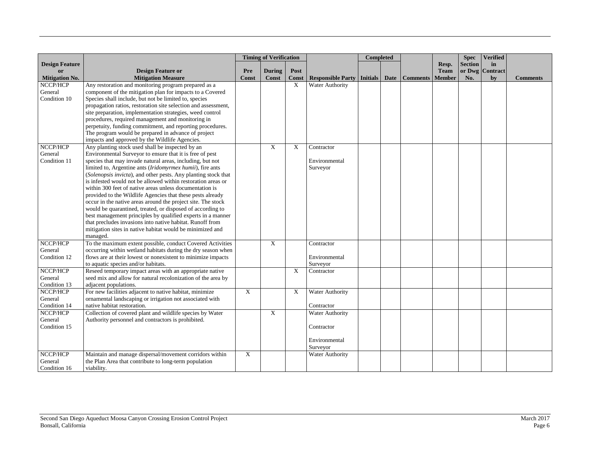|                         |                                                                                                                          |       | <b>Timing of Verification</b> |                           |                          | <b>Completed</b> |             |                 |               | <b>Spec</b>    | <b>Verified</b> |                 |
|-------------------------|--------------------------------------------------------------------------------------------------------------------------|-------|-------------------------------|---------------------------|--------------------------|------------------|-------------|-----------------|---------------|----------------|-----------------|-----------------|
| <b>Design Feature</b>   |                                                                                                                          |       |                               |                           |                          |                  |             |                 | Resp.         | <b>Section</b> | in              |                 |
| or                      | <b>Design Feature or</b>                                                                                                 | Pre   | <b>During</b>                 | Post                      |                          |                  |             |                 | <b>Team</b>   | or Dwg         | <b>Contract</b> |                 |
| <b>Mitigation No.</b>   | <b>Mitigation Measure</b>                                                                                                | Const | <b>Const</b>                  | <b>Const</b>              | <b>Responsible Party</b> | <b>Initials</b>  | <b>Date</b> | <b>Comments</b> | <b>Member</b> | No.            | by              | <b>Comments</b> |
| NCCP/HCP                | Any restoration and monitoring program prepared as a                                                                     |       |                               | X                         | Water Authority          |                  |             |                 |               |                |                 |                 |
| General<br>Condition 10 | component of the mitigation plan for impacts to a Covered                                                                |       |                               |                           |                          |                  |             |                 |               |                |                 |                 |
|                         | Species shall include, but not be limited to, species<br>propagation ratios, restoration site selection and assessment,  |       |                               |                           |                          |                  |             |                 |               |                |                 |                 |
|                         | site preparation, implementation strategies, weed control                                                                |       |                               |                           |                          |                  |             |                 |               |                |                 |                 |
|                         | procedures, required management and monitoring in                                                                        |       |                               |                           |                          |                  |             |                 |               |                |                 |                 |
|                         | perpetuity, funding commitment, and reporting procedures.                                                                |       |                               |                           |                          |                  |             |                 |               |                |                 |                 |
|                         | The program would be prepared in advance of project                                                                      |       |                               |                           |                          |                  |             |                 |               |                |                 |                 |
|                         | impacts and approved by the Wildlife Agencies.                                                                           |       |                               |                           |                          |                  |             |                 |               |                |                 |                 |
| NCCP/HCP                | Any planting stock used shall be inspected by an                                                                         |       | X                             | $\boldsymbol{\mathrm{X}}$ | Contractor               |                  |             |                 |               |                |                 |                 |
| General                 | Environmental Surveyor to ensure that it is free of pest                                                                 |       |                               |                           |                          |                  |             |                 |               |                |                 |                 |
| Condition 11            | species that may invade natural areas, including, but not                                                                |       |                               |                           | Environmental            |                  |             |                 |               |                |                 |                 |
|                         | limited to, Argentine ants (Iridomyrmex humii), fire ants                                                                |       |                               |                           | Surveyor                 |                  |             |                 |               |                |                 |                 |
|                         | (Solenopsis invicta), and other pests. Any planting stock that                                                           |       |                               |                           |                          |                  |             |                 |               |                |                 |                 |
|                         | is infested would not be allowed within restoration areas or                                                             |       |                               |                           |                          |                  |             |                 |               |                |                 |                 |
|                         | within 300 feet of native areas unless documentation is                                                                  |       |                               |                           |                          |                  |             |                 |               |                |                 |                 |
|                         | provided to the Wildlife Agencies that these pests already                                                               |       |                               |                           |                          |                  |             |                 |               |                |                 |                 |
|                         | occur in the native areas around the project site. The stock                                                             |       |                               |                           |                          |                  |             |                 |               |                |                 |                 |
|                         | would be quarantined, treated, or disposed of according to                                                               |       |                               |                           |                          |                  |             |                 |               |                |                 |                 |
|                         | best management principles by qualified experts in a manner<br>that precludes invasions into native habitat. Runoff from |       |                               |                           |                          |                  |             |                 |               |                |                 |                 |
|                         | mitigation sites in native habitat would be minimized and                                                                |       |                               |                           |                          |                  |             |                 |               |                |                 |                 |
|                         | managed.                                                                                                                 |       |                               |                           |                          |                  |             |                 |               |                |                 |                 |
| NCCP/HCP                | To the maximum extent possible, conduct Covered Activities                                                               |       | X                             |                           | Contractor               |                  |             |                 |               |                |                 |                 |
| General                 | occurring within wetland habitats during the dry season when                                                             |       |                               |                           |                          |                  |             |                 |               |                |                 |                 |
| Condition 12            | flows are at their lowest or nonexistent to minimize impacts                                                             |       |                               |                           | Environmental            |                  |             |                 |               |                |                 |                 |
|                         | to aquatic species and/or habitats.                                                                                      |       |                               |                           | Surveyor                 |                  |             |                 |               |                |                 |                 |
| NCCP/HCP                | Reseed temporary impact areas with an appropriate native                                                                 |       |                               | X                         | Contractor               |                  |             |                 |               |                |                 |                 |
| General                 | seed mix and allow for natural recolonization of the area by                                                             |       |                               |                           |                          |                  |             |                 |               |                |                 |                 |
| Condition 13            | adjacent populations.                                                                                                    |       |                               |                           |                          |                  |             |                 |               |                |                 |                 |
| NCCP/HCP                | For new facilities adjacent to native habitat, minimize                                                                  | X     |                               | X                         | Water Authority          |                  |             |                 |               |                |                 |                 |
| General                 | ornamental landscaping or irrigation not associated with                                                                 |       |                               |                           |                          |                  |             |                 |               |                |                 |                 |
| Condition 14            | native habitat restoration.                                                                                              |       |                               |                           | Contractor               |                  |             |                 |               |                |                 |                 |
| NCCP/HCP                | Collection of covered plant and wildlife species by Water                                                                |       | $\mathbf X$                   |                           | Water Authority          |                  |             |                 |               |                |                 |                 |
| General                 | Authority personnel and contractors is prohibited.                                                                       |       |                               |                           |                          |                  |             |                 |               |                |                 |                 |
| Condition 15            |                                                                                                                          |       |                               |                           | Contractor               |                  |             |                 |               |                |                 |                 |
|                         |                                                                                                                          |       |                               |                           |                          |                  |             |                 |               |                |                 |                 |
|                         |                                                                                                                          |       |                               |                           | Environmental            |                  |             |                 |               |                |                 |                 |
| NCCP/HCP                |                                                                                                                          | X     |                               |                           | Surveyor                 |                  |             |                 |               |                |                 |                 |
| General                 | Maintain and manage dispersal/movement corridors within<br>the Plan Area that contribute to long-term population         |       |                               |                           | Water Authority          |                  |             |                 |               |                |                 |                 |
| Condition 16            | viability.                                                                                                               |       |                               |                           |                          |                  |             |                 |               |                |                 |                 |
|                         |                                                                                                                          |       |                               |                           |                          |                  |             |                 |               |                |                 |                 |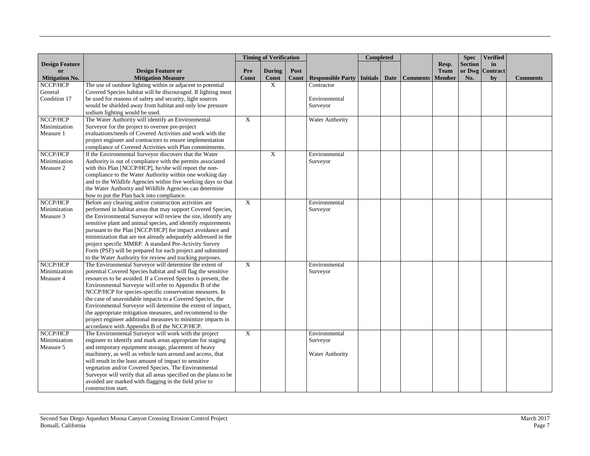|                       |                                                                                                                           |                           | <b>Timing of Verification</b> |              |                                     | <b>Completed</b> |      |                 |               | <b>Spec</b>    | <b>Verified</b> |                 |
|-----------------------|---------------------------------------------------------------------------------------------------------------------------|---------------------------|-------------------------------|--------------|-------------------------------------|------------------|------|-----------------|---------------|----------------|-----------------|-----------------|
| <b>Design Feature</b> |                                                                                                                           |                           |                               |              |                                     |                  |      |                 | Resp.         | <b>Section</b> | in              |                 |
| or                    | <b>Design Feature or</b>                                                                                                  | Pre                       | <b>During</b>                 | Post         |                                     |                  |      |                 | <b>Team</b>   | or Dwg         | <b>Contract</b> |                 |
| <b>Mitigation No.</b> | <b>Mitigation Measure</b>                                                                                                 | <b>Const</b>              | <b>Const</b>                  | <b>Const</b> | <b>Responsible Party   Initials</b> |                  | Date | <b>Comments</b> | <b>Member</b> | No.            | by              | <b>Comments</b> |
| NCCP/HCP              | The use of outdoor lighting within or adjacent to potential                                                               |                           | X                             |              | Contractor                          |                  |      |                 |               |                |                 |                 |
| General               | Covered Species habitat will be discouraged. If lighting must                                                             |                           |                               |              |                                     |                  |      |                 |               |                |                 |                 |
| Condition 17          | be used for reasons of safety and security, light sources                                                                 |                           |                               |              | Environmental                       |                  |      |                 |               |                |                 |                 |
|                       | would be shielded away from habitat and only low pressure                                                                 |                           |                               |              | Surveyor                            |                  |      |                 |               |                |                 |                 |
|                       | sodium lighting would be used.                                                                                            |                           |                               |              |                                     |                  |      |                 |               |                |                 |                 |
| NCCP/HCP              | The Water Authority will identify an Environmental                                                                        | $\mathbf X$               |                               |              | Water Authority                     |                  |      |                 |               |                |                 |                 |
| Minimization          | Surveyor for the project to oversee pre-project                                                                           |                           |                               |              |                                     |                  |      |                 |               |                |                 |                 |
| Measure 1             | evaluations/needs of Covered Activities and work with the                                                                 |                           |                               |              |                                     |                  |      |                 |               |                |                 |                 |
|                       | project engineer and contractors to ensure implementation                                                                 |                           |                               |              |                                     |                  |      |                 |               |                |                 |                 |
|                       | compliance of Covered Activities with Plan commitments.                                                                   |                           |                               |              |                                     |                  |      |                 |               |                |                 |                 |
| NCCP/HCP              | If the Environmental Surveyor discovers that the Water                                                                    |                           | $\mathbf X$                   |              | Environmental                       |                  |      |                 |               |                |                 |                 |
| Minimization          | Authority is out of compliance with the permits associated                                                                |                           |                               |              | Surveyor                            |                  |      |                 |               |                |                 |                 |
| Measure 2             | with this Plan [NCCP/HCP], he/she will report the non-                                                                    |                           |                               |              |                                     |                  |      |                 |               |                |                 |                 |
|                       | compliance to the Water Authority within one working day                                                                  |                           |                               |              |                                     |                  |      |                 |               |                |                 |                 |
|                       | and to the Wildlife Agencies within five working days so that                                                             |                           |                               |              |                                     |                  |      |                 |               |                |                 |                 |
|                       | the Water Authority and Wildlife Agencies can determine                                                                   |                           |                               |              |                                     |                  |      |                 |               |                |                 |                 |
|                       | how to put the Plan back into compliance.                                                                                 |                           |                               |              |                                     |                  |      |                 |               |                |                 |                 |
| NCCP/HCP              | Before any clearing and/or construction activities are                                                                    | $\boldsymbol{\mathrm{X}}$ |                               |              | Environmental                       |                  |      |                 |               |                |                 |                 |
| Minimization          | performed in habitat areas that may support Covered Species,                                                              |                           |                               |              | Surveyor                            |                  |      |                 |               |                |                 |                 |
| Measure 3             | the Environmental Surveyor will review the site, identify any                                                             |                           |                               |              |                                     |                  |      |                 |               |                |                 |                 |
|                       | sensitive plant and animal species, and identify requirements                                                             |                           |                               |              |                                     |                  |      |                 |               |                |                 |                 |
|                       | pursuant to the Plan [NCCP/HCP] for impact avoidance and<br>minimization that are not already adequately addressed in the |                           |                               |              |                                     |                  |      |                 |               |                |                 |                 |
|                       | project specific MMRP. A standard Pre-Activity Survey                                                                     |                           |                               |              |                                     |                  |      |                 |               |                |                 |                 |
|                       | Form (PSF) will be prepared for each project and submitted                                                                |                           |                               |              |                                     |                  |      |                 |               |                |                 |                 |
|                       | to the Water Authority for review and tracking purposes.                                                                  |                           |                               |              |                                     |                  |      |                 |               |                |                 |                 |
| NCCP/HCP              | The Environmental Surveyor will determine the extent of                                                                   | $\overline{X}$            |                               |              | Environmental                       |                  |      |                 |               |                |                 |                 |
| Minimization          | potential Covered Species habitat and will flag the sensitive                                                             |                           |                               |              | Surveyor                            |                  |      |                 |               |                |                 |                 |
| Measure 4             | resources to be avoided. If a Covered Species is present, the                                                             |                           |                               |              |                                     |                  |      |                 |               |                |                 |                 |
|                       | Environmental Surveyor will refer to Appendix B of the                                                                    |                           |                               |              |                                     |                  |      |                 |               |                |                 |                 |
|                       | NCCP/HCP for species-specific conservation measures. In                                                                   |                           |                               |              |                                     |                  |      |                 |               |                |                 |                 |
|                       | the case of unavoidable impacts to a Covered Species, the                                                                 |                           |                               |              |                                     |                  |      |                 |               |                |                 |                 |
|                       | Environmental Surveyor will determine the extent of impact,                                                               |                           |                               |              |                                     |                  |      |                 |               |                |                 |                 |
|                       | the appropriate mitigation measures, and recommend to the                                                                 |                           |                               |              |                                     |                  |      |                 |               |                |                 |                 |
|                       | project engineer additional measures to minimize impacts in                                                               |                           |                               |              |                                     |                  |      |                 |               |                |                 |                 |
|                       | accordance with Appendix B of the NCCP/HCP.                                                                               |                           |                               |              |                                     |                  |      |                 |               |                |                 |                 |
| NCCP/HCP              | The Environmental Surveyor will work with the project                                                                     | $\overline{X}$            |                               |              | Environmental                       |                  |      |                 |               |                |                 |                 |
| Minimization          | engineer to identify and mark areas appropriate for staging                                                               |                           |                               |              | Surveyor                            |                  |      |                 |               |                |                 |                 |
| Measure 5             | and temporary equipment storage, placement of heavy                                                                       |                           |                               |              |                                     |                  |      |                 |               |                |                 |                 |
|                       | machinery, as well as vehicle turn around and access, that                                                                |                           |                               |              | Water Authority                     |                  |      |                 |               |                |                 |                 |
|                       | will result in the least amount of impact to sensitive                                                                    |                           |                               |              |                                     |                  |      |                 |               |                |                 |                 |
|                       | vegetation and/or Covered Species. The Environmental                                                                      |                           |                               |              |                                     |                  |      |                 |               |                |                 |                 |
|                       | Surveyor will verify that all areas specified on the plans to be                                                          |                           |                               |              |                                     |                  |      |                 |               |                |                 |                 |
|                       | avoided are marked with flagging in the field prior to                                                                    |                           |                               |              |                                     |                  |      |                 |               |                |                 |                 |
|                       | construction start.                                                                                                       |                           |                               |              |                                     |                  |      |                 |               |                |                 |                 |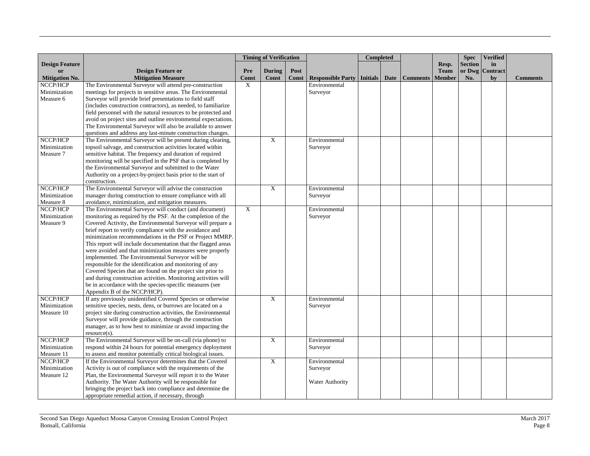|                       |                                                                                                             |                | <b>Timing of Verification</b> |       |                          | <b>Completed</b> |             |                          |             | <b>Spec</b> | <b>Verified</b> |                 |
|-----------------------|-------------------------------------------------------------------------------------------------------------|----------------|-------------------------------|-------|--------------------------|------------------|-------------|--------------------------|-------------|-------------|-----------------|-----------------|
| <b>Design Feature</b> |                                                                                                             |                |                               |       |                          |                  |             |                          | Resp.       | Section     | in              |                 |
| or                    | <b>Design Feature or</b>                                                                                    | <b>Pre</b>     | <b>During</b>                 | Post  |                          |                  |             |                          | <b>Team</b> | or Dwg      | Contract        |                 |
| <b>Mitigation No.</b> | <b>Mitigation Measure</b>                                                                                   | Const          | <b>Const</b>                  | Const | <b>Responsible Party</b> | <b>Initials</b>  | <b>Date</b> | <b>Comments   Member</b> |             | No.         | bv              | <b>Comments</b> |
| NCCP/HCP              | The Environmental Surveyor will attend pre-construction                                                     | $\mathbf{x}$   |                               |       | Environmental            |                  |             |                          |             |             |                 |                 |
| Minimization          | meetings for projects in sensitive areas. The Environmental                                                 |                |                               |       | Surveyor                 |                  |             |                          |             |             |                 |                 |
| Measure 6             | Surveyor will provide brief presentations to field staff                                                    |                |                               |       |                          |                  |             |                          |             |             |                 |                 |
|                       | (includes construction contractors), as needed, to familiarize                                              |                |                               |       |                          |                  |             |                          |             |             |                 |                 |
|                       | field personnel with the natural resources to be protected and                                              |                |                               |       |                          |                  |             |                          |             |             |                 |                 |
|                       | avoid on project sites and outline environmental expectations.                                              |                |                               |       |                          |                  |             |                          |             |             |                 |                 |
|                       | The Environmental Surveyor will also be available to answer                                                 |                |                               |       |                          |                  |             |                          |             |             |                 |                 |
|                       | questions and address any last-minute construction changes.                                                 |                |                               |       |                          |                  |             |                          |             |             |                 |                 |
| NCCP/HCP              | The Environmental Surveyor will be present during clearing,                                                 |                | $\overline{X}$                |       | Environmental            |                  |             |                          |             |             |                 |                 |
| Minimization          | topsoil salvage, and construction activities located within                                                 |                |                               |       | Surveyor                 |                  |             |                          |             |             |                 |                 |
| Measure 7             | sensitive habitat. The frequency and duration of required                                                   |                |                               |       |                          |                  |             |                          |             |             |                 |                 |
|                       | monitoring will be specified in the PSF that is completed by                                                |                |                               |       |                          |                  |             |                          |             |             |                 |                 |
|                       | the Environmental Surveyor and submitted to the Water                                                       |                |                               |       |                          |                  |             |                          |             |             |                 |                 |
|                       | Authority on a project-by-project basis prior to the start of                                               |                |                               |       |                          |                  |             |                          |             |             |                 |                 |
|                       | construction.                                                                                               |                |                               |       |                          |                  |             |                          |             |             |                 |                 |
| NCCP/HCP              | The Environmental Surveyor will advise the construction                                                     |                | $\mathbf X$                   |       | Environmental            |                  |             |                          |             |             |                 |                 |
| Minimization          | manager during construction to ensure compliance with all                                                   |                |                               |       | Surveyor                 |                  |             |                          |             |             |                 |                 |
| Measure 8<br>NCCP/HCP | avoidance, minimization, and mitigation measures.<br>The Environmental Surveyor will conduct (and document) | $\overline{X}$ |                               |       | Environmental            |                  |             |                          |             |             |                 |                 |
| Minimization          | monitoring as required by the PSF. At the completion of the                                                 |                |                               |       | Surveyor                 |                  |             |                          |             |             |                 |                 |
| Measure 9             | Covered Activity, the Environmental Surveyor will prepare a                                                 |                |                               |       |                          |                  |             |                          |             |             |                 |                 |
|                       | brief report to verify compliance with the avoidance and                                                    |                |                               |       |                          |                  |             |                          |             |             |                 |                 |
|                       | minimization recommendations in the PSF or Project MMRP.                                                    |                |                               |       |                          |                  |             |                          |             |             |                 |                 |
|                       | This report will include documentation that the flagged areas                                               |                |                               |       |                          |                  |             |                          |             |             |                 |                 |
|                       | were avoided and that minimization measures were properly                                                   |                |                               |       |                          |                  |             |                          |             |             |                 |                 |
|                       | implemented. The Environmental Surveyor will be                                                             |                |                               |       |                          |                  |             |                          |             |             |                 |                 |
|                       | responsible for the identification and monitoring of any                                                    |                |                               |       |                          |                  |             |                          |             |             |                 |                 |
|                       | Covered Species that are found on the project site prior to                                                 |                |                               |       |                          |                  |             |                          |             |             |                 |                 |
|                       | and during construction activities. Monitoring activities will                                              |                |                               |       |                          |                  |             |                          |             |             |                 |                 |
|                       | be in accordance with the species-specific measures (see                                                    |                |                               |       |                          |                  |             |                          |             |             |                 |                 |
|                       | Appendix B of the NCCP/HCP).                                                                                |                |                               |       |                          |                  |             |                          |             |             |                 |                 |
| NCCP/HCP              | If any previously unidentified Covered Species or otherwise                                                 |                | X                             |       | Environmental            |                  |             |                          |             |             |                 |                 |
| Minimization          | sensitive species, nests, dens, or burrows are located on a                                                 |                |                               |       | Surveyor                 |                  |             |                          |             |             |                 |                 |
| Measure 10            | project site during construction activities, the Environmental                                              |                |                               |       |                          |                  |             |                          |             |             |                 |                 |
|                       | Surveyor will provide guidance, through the construction                                                    |                |                               |       |                          |                  |             |                          |             |             |                 |                 |
|                       | manager, as to how best to minimize or avoid impacting the                                                  |                |                               |       |                          |                  |             |                          |             |             |                 |                 |
|                       | $resource(s)$ .                                                                                             |                |                               |       |                          |                  |             |                          |             |             |                 |                 |
| NCCP/HCP              | The Environmental Surveyor will be on-call (via phone) to                                                   |                | $\mathbf X$                   |       | Environmental            |                  |             |                          |             |             |                 |                 |
| Minimization          | respond within 24 hours for potential emergency deployment                                                  |                |                               |       | Surveyor                 |                  |             |                          |             |             |                 |                 |
| Measure 11            | to assess and monitor potentially critical biological issues.                                               |                |                               |       |                          |                  |             |                          |             |             |                 |                 |
| NCCP/HCP              | If the Environmental Surveyor determines that the Covered                                                   |                | $\mathbf X$                   |       | Environmental            |                  |             |                          |             |             |                 |                 |
| Minimization          | Activity is out of compliance with the requirements of the                                                  |                |                               |       | Surveyor                 |                  |             |                          |             |             |                 |                 |
| Measure 12            | Plan, the Environmental Surveyor will report it to the Water                                                |                |                               |       |                          |                  |             |                          |             |             |                 |                 |
|                       | Authority. The Water Authority will be responsible for                                                      |                |                               |       | Water Authority          |                  |             |                          |             |             |                 |                 |
|                       | bringing the project back into compliance and determine the                                                 |                |                               |       |                          |                  |             |                          |             |             |                 |                 |
|                       | appropriate remedial action, if necessary, through                                                          |                |                               |       |                          |                  |             |                          |             |             |                 |                 |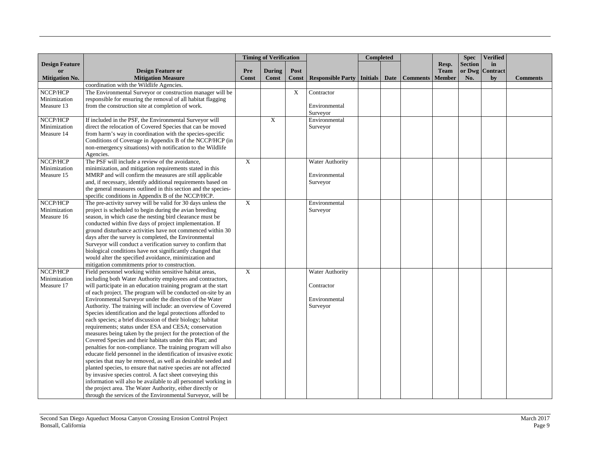|                       |                                                                                                                                |                           | <b>Timing of Verification</b> |       |                          | <b>Completed</b> |      |          |               | <b>Spec</b> | <b>Verified</b> |                 |
|-----------------------|--------------------------------------------------------------------------------------------------------------------------------|---------------------------|-------------------------------|-------|--------------------------|------------------|------|----------|---------------|-------------|-----------------|-----------------|
| <b>Design Feature</b> |                                                                                                                                |                           |                               |       |                          |                  |      |          | Resp.         | Section     | in              |                 |
| or                    | <b>Design Feature or</b>                                                                                                       | Pre                       | <b>During</b>                 | Post  |                          |                  |      |          | <b>Team</b>   | or Dwg      | Contract        |                 |
| <b>Mitigation No.</b> | <b>Mitigation Measure</b>                                                                                                      | <b>Const</b>              | Const                         | Const | <b>Responsible Party</b> | <b>Initials</b>  | Date | Comments | <b>Member</b> | No.         | by              | <b>Comments</b> |
|                       | coordination with the Wildlife Agencies.                                                                                       |                           |                               |       |                          |                  |      |          |               |             |                 |                 |
| NCCP/HCP              | The Environmental Surveyor or construction manager will be                                                                     |                           |                               | X     | Contractor               |                  |      |          |               |             |                 |                 |
| Minimization          | responsible for ensuring the removal of all habitat flagging                                                                   |                           |                               |       |                          |                  |      |          |               |             |                 |                 |
| Measure 13            | from the construction site at completion of work.                                                                              |                           |                               |       | Environmental            |                  |      |          |               |             |                 |                 |
|                       |                                                                                                                                |                           |                               |       | Surveyor                 |                  |      |          |               |             |                 |                 |
| NCCP/HCP              | If included in the PSF, the Environmental Surveyor will                                                                        |                           | $\mathbf X$                   |       | Environmental            |                  |      |          |               |             |                 |                 |
| Minimization          | direct the relocation of Covered Species that can be moved                                                                     |                           |                               |       | Surveyor                 |                  |      |          |               |             |                 |                 |
| Measure 14            | from harm's way in coordination with the species-specific                                                                      |                           |                               |       |                          |                  |      |          |               |             |                 |                 |
|                       | Conditions of Coverage in Appendix B of the NCCP/HCP (in                                                                       |                           |                               |       |                          |                  |      |          |               |             |                 |                 |
|                       | non-emergency situations) with notification to the Wildlife                                                                    |                           |                               |       |                          |                  |      |          |               |             |                 |                 |
|                       | Agencies.                                                                                                                      |                           |                               |       |                          |                  |      |          |               |             |                 |                 |
| NCCP/HCP              | The PSF will include a review of the avoidance,                                                                                | $\boldsymbol{\mathrm{X}}$ |                               |       | Water Authority          |                  |      |          |               |             |                 |                 |
| Minimization          | minimization, and mitigation requirements stated in this                                                                       |                           |                               |       |                          |                  |      |          |               |             |                 |                 |
| Measure 15            | MMRP and will confirm the measures are still applicable                                                                        |                           |                               |       | Environmental            |                  |      |          |               |             |                 |                 |
|                       | and, if necessary, identify additional requirements based on<br>the general measures outlined in this section and the species- |                           |                               |       | Surveyor                 |                  |      |          |               |             |                 |                 |
|                       | specific conditions in Appendix B of the NCCP/HCP.                                                                             |                           |                               |       |                          |                  |      |          |               |             |                 |                 |
| NCCP/HCP              | The pre-activity survey will be valid for 30 days unless the                                                                   | $\mathbf X$               |                               |       | Environmental            |                  |      |          |               |             |                 |                 |
| Minimization          | project is scheduled to begin during the avian breeding                                                                        |                           |                               |       | Surveyor                 |                  |      |          |               |             |                 |                 |
| Measure 16            | season, in which case the nesting bird clearance must be                                                                       |                           |                               |       |                          |                  |      |          |               |             |                 |                 |
|                       | conducted within five days of project implementation. If                                                                       |                           |                               |       |                          |                  |      |          |               |             |                 |                 |
|                       | ground disturbance activities have not commenced within 30                                                                     |                           |                               |       |                          |                  |      |          |               |             |                 |                 |
|                       | days after the survey is completed, the Environmental                                                                          |                           |                               |       |                          |                  |      |          |               |             |                 |                 |
|                       | Surveyor will conduct a verification survey to confirm that                                                                    |                           |                               |       |                          |                  |      |          |               |             |                 |                 |
|                       | biological conditions have not significantly changed that                                                                      |                           |                               |       |                          |                  |      |          |               |             |                 |                 |
|                       | would alter the specified avoidance, minimization and                                                                          |                           |                               |       |                          |                  |      |          |               |             |                 |                 |
|                       | mitigation commitments prior to construction.                                                                                  |                           |                               |       |                          |                  |      |          |               |             |                 |                 |
| NCCP/HCP              | Field personnel working within sensitive habitat areas,                                                                        | $\overline{X}$            |                               |       | <b>Water Authority</b>   |                  |      |          |               |             |                 |                 |
| Minimization          | including both Water Authority employees and contractors,                                                                      |                           |                               |       |                          |                  |      |          |               |             |                 |                 |
| Measure 17            | will participate in an education training program at the start                                                                 |                           |                               |       | Contractor               |                  |      |          |               |             |                 |                 |
|                       | of each project. The program will be conducted on-site by an                                                                   |                           |                               |       |                          |                  |      |          |               |             |                 |                 |
|                       | Environmental Surveyor under the direction of the Water                                                                        |                           |                               |       | Environmental            |                  |      |          |               |             |                 |                 |
|                       | Authority. The training will include: an overview of Covered                                                                   |                           |                               |       | Surveyor                 |                  |      |          |               |             |                 |                 |
|                       | Species identification and the legal protections afforded to                                                                   |                           |                               |       |                          |                  |      |          |               |             |                 |                 |
|                       | each species; a brief discussion of their biology; habitat                                                                     |                           |                               |       |                          |                  |      |          |               |             |                 |                 |
|                       | requirements; status under ESA and CESA; conservation                                                                          |                           |                               |       |                          |                  |      |          |               |             |                 |                 |
|                       | measures being taken by the project for the protection of the<br>Covered Species and their habitats under this Plan; and       |                           |                               |       |                          |                  |      |          |               |             |                 |                 |
|                       | penalties for non-compliance. The training program will also                                                                   |                           |                               |       |                          |                  |      |          |               |             |                 |                 |
|                       | educate field personnel in the identification of invasive exotic                                                               |                           |                               |       |                          |                  |      |          |               |             |                 |                 |
|                       | species that may be removed, as well as desirable seeded and                                                                   |                           |                               |       |                          |                  |      |          |               |             |                 |                 |
|                       | planted species, to ensure that native species are not affected                                                                |                           |                               |       |                          |                  |      |          |               |             |                 |                 |
|                       | by invasive species control. A fact sheet conveying this                                                                       |                           |                               |       |                          |                  |      |          |               |             |                 |                 |
|                       | information will also be available to all personnel working in                                                                 |                           |                               |       |                          |                  |      |          |               |             |                 |                 |
|                       | the project area. The Water Authority, either directly or                                                                      |                           |                               |       |                          |                  |      |          |               |             |                 |                 |
|                       | through the services of the Environmental Surveyor, will be                                                                    |                           |                               |       |                          |                  |      |          |               |             |                 |                 |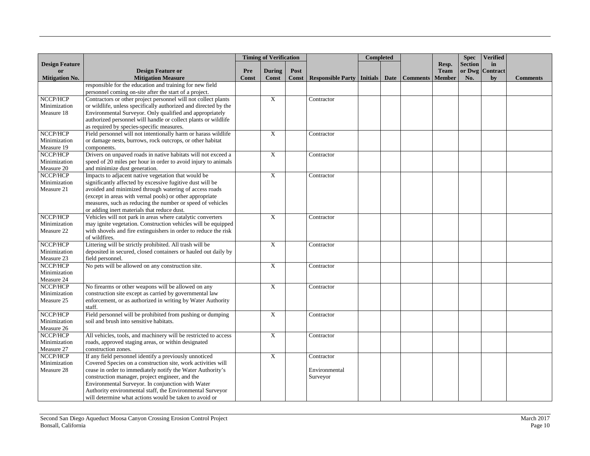|                       |                                                                                                           |       | <b>Timing of Verification</b> |       |                          | Completed       |      |                        |             | <b>Spec</b>    | <b>Verified</b> |                 |
|-----------------------|-----------------------------------------------------------------------------------------------------------|-------|-------------------------------|-------|--------------------------|-----------------|------|------------------------|-------------|----------------|-----------------|-----------------|
| <b>Design Feature</b> |                                                                                                           |       |                               |       |                          |                 |      |                        | Resp.       | <b>Section</b> | in              |                 |
| or                    | <b>Design Feature or</b>                                                                                  | Pre   | <b>During</b>                 | Post  |                          |                 |      |                        | <b>Team</b> | or Dwg         | <b>Contract</b> |                 |
| <b>Mitigation No.</b> | <b>Mitigation Measure</b>                                                                                 | Const | <b>Const</b>                  | Const | <b>Responsible Party</b> | <b>Initials</b> | Date | <b>Comments</b> Member |             | No.            | by              | <b>Comments</b> |
|                       | responsible for the education and training for new field                                                  |       |                               |       |                          |                 |      |                        |             |                |                 |                 |
|                       | personnel coming on-site after the start of a project.                                                    |       |                               |       |                          |                 |      |                        |             |                |                 |                 |
| NCCP/HCP              | Contractors or other project personnel will not collect plants                                            |       | X                             |       | Contractor               |                 |      |                        |             |                |                 |                 |
| Minimization          | or wildlife, unless specifically authorized and directed by the                                           |       |                               |       |                          |                 |      |                        |             |                |                 |                 |
| Measure 18            | Environmental Surveyor. Only qualified and appropriately                                                  |       |                               |       |                          |                 |      |                        |             |                |                 |                 |
|                       | authorized personnel will handle or collect plants or wildlife                                            |       |                               |       |                          |                 |      |                        |             |                |                 |                 |
|                       | as required by species-specific measures.                                                                 |       |                               |       |                          |                 |      |                        |             |                |                 |                 |
| NCCP/HCP              | Field personnel will not intentionally harm or harass wildlife                                            |       | $\overline{X}$                |       | Contractor               |                 |      |                        |             |                |                 |                 |
| Minimization          | or damage nests, burrows, rock outcrops, or other habitat                                                 |       |                               |       |                          |                 |      |                        |             |                |                 |                 |
| Measure 19            | components.                                                                                               |       |                               |       |                          |                 |      |                        |             |                |                 |                 |
| NCCP/HCP              | Drivers on unpaved roads in native habitats will not exceed a                                             |       | X                             |       | Contractor               |                 |      |                        |             |                |                 |                 |
| Minimization          | speed of 20 miles per hour in order to avoid injury to animals                                            |       |                               |       |                          |                 |      |                        |             |                |                 |                 |
| Measure 20            | and minimize dust generation.                                                                             |       |                               |       |                          |                 |      |                        |             |                |                 |                 |
| NCCP/HCP              | Impacts to adjacent native vegetation that would be                                                       |       | $\mathbf X$                   |       | Contractor               |                 |      |                        |             |                |                 |                 |
| Minimization          | significantly affected by excessive fugitive dust will be                                                 |       |                               |       |                          |                 |      |                        |             |                |                 |                 |
| Measure 21            | avoided and minimized through watering of access roads                                                    |       |                               |       |                          |                 |      |                        |             |                |                 |                 |
|                       | (except in areas with vernal pools) or other appropriate                                                  |       |                               |       |                          |                 |      |                        |             |                |                 |                 |
|                       | measures, such as reducing the number or speed of vehicles<br>or adding inert materials that reduce dust. |       |                               |       |                          |                 |      |                        |             |                |                 |                 |
| NCCP/HCP              | Vehicles will not park in areas where catalytic converters                                                |       | X                             |       |                          |                 |      |                        |             |                |                 |                 |
| Minimization          | may ignite vegetation. Construction vehicles will be equipped                                             |       |                               |       | Contractor               |                 |      |                        |             |                |                 |                 |
| Measure 22            | with shovels and fire extinguishers in order to reduce the risk                                           |       |                               |       |                          |                 |      |                        |             |                |                 |                 |
|                       | of wildfires.                                                                                             |       |                               |       |                          |                 |      |                        |             |                |                 |                 |
| NCCP/HCP              | Littering will be strictly prohibited. All trash will be                                                  |       | $\boldsymbol{\mathrm{X}}$     |       | Contractor               |                 |      |                        |             |                |                 |                 |
| Minimization          | deposited in secured, closed containers or hauled out daily by                                            |       |                               |       |                          |                 |      |                        |             |                |                 |                 |
| Measure 23            | field personnel.                                                                                          |       |                               |       |                          |                 |      |                        |             |                |                 |                 |
| NCCP/HCP              | No pets will be allowed on any construction site.                                                         |       | $\mathbf X$                   |       | Contractor               |                 |      |                        |             |                |                 |                 |
| Minimization          |                                                                                                           |       |                               |       |                          |                 |      |                        |             |                |                 |                 |
| Measure 24            |                                                                                                           |       |                               |       |                          |                 |      |                        |             |                |                 |                 |
| NCCP/HCP              | No firearms or other weapons will be allowed on any                                                       |       | X                             |       | Contractor               |                 |      |                        |             |                |                 |                 |
| Minimization          | construction site except as carried by governmental law                                                   |       |                               |       |                          |                 |      |                        |             |                |                 |                 |
| Measure 25            | enforcement, or as authorized in writing by Water Authority                                               |       |                               |       |                          |                 |      |                        |             |                |                 |                 |
|                       | staff.                                                                                                    |       |                               |       |                          |                 |      |                        |             |                |                 |                 |
| NCCP/HCP              | Field personnel will be prohibited from pushing or dumping                                                |       | X                             |       | Contractor               |                 |      |                        |             |                |                 |                 |
| Minimization          | soil and brush into sensitive habitats.                                                                   |       |                               |       |                          |                 |      |                        |             |                |                 |                 |
| Measure 26            |                                                                                                           |       |                               |       |                          |                 |      |                        |             |                |                 |                 |
| NCCP/HCP              | All vehicles, tools, and machinery will be restricted to access                                           |       | X                             |       | Contractor               |                 |      |                        |             |                |                 |                 |
| Minimization          | roads, approved staging areas, or within designated                                                       |       |                               |       |                          |                 |      |                        |             |                |                 |                 |
| Measure 27            | construction zones.                                                                                       |       |                               |       |                          |                 |      |                        |             |                |                 |                 |
| NCCP/HCP              | If any field personnel identify a previously unnoticed                                                    |       | $\mathbf X$                   |       | Contractor               |                 |      |                        |             |                |                 |                 |
| Minimization          | Covered Species on a construction site, work activities will                                              |       |                               |       |                          |                 |      |                        |             |                |                 |                 |
| Measure 28            | cease in order to immediately notify the Water Authority's                                                |       |                               |       | Environmental            |                 |      |                        |             |                |                 |                 |
|                       | construction manager, project engineer, and the                                                           |       |                               |       | Surveyor                 |                 |      |                        |             |                |                 |                 |
|                       | Environmental Surveyor. In conjunction with Water                                                         |       |                               |       |                          |                 |      |                        |             |                |                 |                 |
|                       | Authority environmental staff, the Environmental Surveyor                                                 |       |                               |       |                          |                 |      |                        |             |                |                 |                 |
|                       | will determine what actions would be taken to avoid or                                                    |       |                               |       |                          |                 |      |                        |             |                |                 |                 |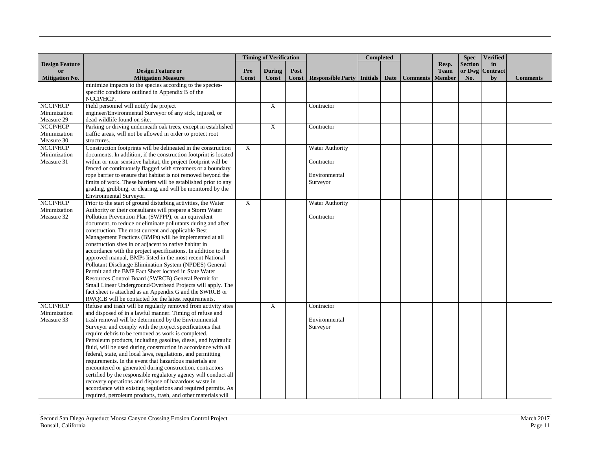|                       |                                                                                                                            |                           | <b>Timing of Verification</b> |       |                          | <b>Completed</b> |      |                 |               | <b>Spec</b>    | <b>Verified</b> |                 |
|-----------------------|----------------------------------------------------------------------------------------------------------------------------|---------------------------|-------------------------------|-------|--------------------------|------------------|------|-----------------|---------------|----------------|-----------------|-----------------|
| <b>Design Feature</b> |                                                                                                                            |                           |                               |       |                          |                  |      |                 | Resp.         | <b>Section</b> | in              |                 |
| or                    | <b>Design Feature or</b>                                                                                                   | Pre                       | <b>During</b>                 | Post  |                          |                  |      |                 | <b>Team</b>   | or Dwg         | Contract        |                 |
| <b>Mitigation No.</b> | <b>Mitigation Measure</b>                                                                                                  | Const                     | <b>Const</b>                  | Const | <b>Responsible Party</b> | Initials         | Date | <b>Comments</b> | <b>Member</b> | No.            | by              | <b>Comments</b> |
|                       | minimize impacts to the species according to the species-                                                                  |                           |                               |       |                          |                  |      |                 |               |                |                 |                 |
|                       | specific conditions outlined in Appendix B of the                                                                          |                           |                               |       |                          |                  |      |                 |               |                |                 |                 |
|                       | NCCP/HCP.                                                                                                                  |                           |                               |       |                          |                  |      |                 |               |                |                 |                 |
| NCCP/HCP              | Field personnel will notify the project                                                                                    |                           | X                             |       | Contractor               |                  |      |                 |               |                |                 |                 |
| Minimization          | engineer/Environmental Surveyor of any sick, injured, or                                                                   |                           |                               |       |                          |                  |      |                 |               |                |                 |                 |
| Measure 29            | dead wildlife found on site.                                                                                               |                           |                               |       |                          |                  |      |                 |               |                |                 |                 |
| NCCP/HCP              | Parking or driving underneath oak trees, except in established                                                             |                           | X                             |       | Contractor               |                  |      |                 |               |                |                 |                 |
| Minimization          | traffic areas, will not be allowed in order to protect root                                                                |                           |                               |       |                          |                  |      |                 |               |                |                 |                 |
| Measure 30            | structures.                                                                                                                |                           |                               |       |                          |                  |      |                 |               |                |                 |                 |
| NCCP/HCP              | Construction footprints will be delineated in the construction                                                             | $\overline{X}$            |                               |       | Water Authority          |                  |      |                 |               |                |                 |                 |
| Minimization          | documents. In addition, if the construction footprint is located                                                           |                           |                               |       |                          |                  |      |                 |               |                |                 |                 |
| Measure 31            | within or near sensitive habitat, the project footprint will be                                                            |                           |                               |       | Contractor               |                  |      |                 |               |                |                 |                 |
|                       | fenced or continuously flagged with streamers or a boundary                                                                |                           |                               |       |                          |                  |      |                 |               |                |                 |                 |
|                       | rope barrier to ensure that habitat is not removed beyond the                                                              |                           |                               |       | Environmental            |                  |      |                 |               |                |                 |                 |
|                       | limits of work. These barriers will be established prior to any                                                            |                           |                               |       | Surveyor                 |                  |      |                 |               |                |                 |                 |
|                       | grading, grubbing, or clearing, and will be monitored by the                                                               |                           |                               |       |                          |                  |      |                 |               |                |                 |                 |
|                       | Environmental Surveyor.                                                                                                    |                           |                               |       |                          |                  |      |                 |               |                |                 |                 |
| NCCP/HCP              | Prior to the start of ground disturbing activities, the Water                                                              | $\boldsymbol{\mathrm{X}}$ |                               |       | <b>Water Authority</b>   |                  |      |                 |               |                |                 |                 |
| Minimization          | Authority or their consultants will prepare a Storm Water                                                                  |                           |                               |       |                          |                  |      |                 |               |                |                 |                 |
| Measure 32            | Pollution Prevention Plan (SWPPP), or an equivalent                                                                        |                           |                               |       | Contractor               |                  |      |                 |               |                |                 |                 |
|                       | document, to reduce or eliminate pollutants during and after                                                               |                           |                               |       |                          |                  |      |                 |               |                |                 |                 |
|                       | construction. The most current and applicable Best                                                                         |                           |                               |       |                          |                  |      |                 |               |                |                 |                 |
|                       | Management Practices (BMPs) will be implemented at all                                                                     |                           |                               |       |                          |                  |      |                 |               |                |                 |                 |
|                       | construction sites in or adjacent to native habitat in                                                                     |                           |                               |       |                          |                  |      |                 |               |                |                 |                 |
|                       | accordance with the project specifications. In addition to the<br>approved manual, BMPs listed in the most recent National |                           |                               |       |                          |                  |      |                 |               |                |                 |                 |
|                       | Pollutant Discharge Elimination System (NPDES) General                                                                     |                           |                               |       |                          |                  |      |                 |               |                |                 |                 |
|                       | Permit and the BMP Fact Sheet located in State Water                                                                       |                           |                               |       |                          |                  |      |                 |               |                |                 |                 |
|                       | Resources Control Board (SWRCB) General Permit for                                                                         |                           |                               |       |                          |                  |      |                 |               |                |                 |                 |
|                       | Small Linear Underground/Overhead Projects will apply. The                                                                 |                           |                               |       |                          |                  |      |                 |               |                |                 |                 |
|                       | fact sheet is attached as an Appendix G and the SWRCB or                                                                   |                           |                               |       |                          |                  |      |                 |               |                |                 |                 |
|                       | RWQCB will be contacted for the latest requirements.                                                                       |                           |                               |       |                          |                  |      |                 |               |                |                 |                 |
| NCCP/HCP              | Refuse and trash will be regularly removed from activity sites                                                             |                           | $\mathbf X$                   |       | Contractor               |                  |      |                 |               |                |                 |                 |
| Minimization          | and disposed of in a lawful manner. Timing of refuse and                                                                   |                           |                               |       |                          |                  |      |                 |               |                |                 |                 |
| Measure 33            | trash removal will be determined by the Environmental                                                                      |                           |                               |       | Environmental            |                  |      |                 |               |                |                 |                 |
|                       | Surveyor and comply with the project specifications that                                                                   |                           |                               |       | Surveyor                 |                  |      |                 |               |                |                 |                 |
|                       | require debris to be removed as work is completed.                                                                         |                           |                               |       |                          |                  |      |                 |               |                |                 |                 |
|                       | Petroleum products, including gasoline, diesel, and hydraulic                                                              |                           |                               |       |                          |                  |      |                 |               |                |                 |                 |
|                       | fluid, will be used during construction in accordance with all                                                             |                           |                               |       |                          |                  |      |                 |               |                |                 |                 |
|                       | federal, state, and local laws, regulations, and permitting                                                                |                           |                               |       |                          |                  |      |                 |               |                |                 |                 |
|                       | requirements. In the event that hazardous materials are                                                                    |                           |                               |       |                          |                  |      |                 |               |                |                 |                 |
|                       | encountered or generated during construction, contractors                                                                  |                           |                               |       |                          |                  |      |                 |               |                |                 |                 |
|                       | certified by the responsible regulatory agency will conduct all                                                            |                           |                               |       |                          |                  |      |                 |               |                |                 |                 |
|                       | recovery operations and dispose of hazardous waste in                                                                      |                           |                               |       |                          |                  |      |                 |               |                |                 |                 |
|                       | accordance with existing regulations and required permits. As                                                              |                           |                               |       |                          |                  |      |                 |               |                |                 |                 |
|                       | required, petroleum products, trash, and other materials will                                                              |                           |                               |       |                          |                  |      |                 |               |                |                 |                 |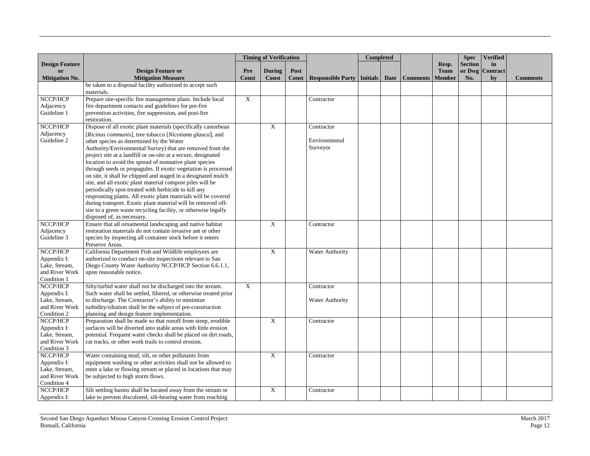|                               |                                                                                                                            |                | <b>Timing of Verification</b> |       |                          | <b>Completed</b> |      |                 |               | <b>Spec</b> | <b>Verified</b> |                 |
|-------------------------------|----------------------------------------------------------------------------------------------------------------------------|----------------|-------------------------------|-------|--------------------------|------------------|------|-----------------|---------------|-------------|-----------------|-----------------|
| <b>Design Feature</b>         |                                                                                                                            |                |                               |       |                          |                  |      |                 | Resp.         | Section     | in              |                 |
| or                            | <b>Design Feature or</b>                                                                                                   | Pre            | <b>During</b>                 | Post  |                          |                  |      |                 | <b>Team</b>   | or Dwg      | <b>Contract</b> |                 |
| <b>Mitigation No.</b>         | <b>Mitigation Measure</b>                                                                                                  | Const          | <b>Const</b>                  | Const | <b>Responsible Party</b> | <b>Initials</b>  | Date | <b>Comments</b> | <b>Member</b> | No.         | by              | <b>Comments</b> |
|                               | be taken to a disposal facility authorized to accept such<br>materials.                                                    |                |                               |       |                          |                  |      |                 |               |             |                 |                 |
| NCCP/HCP                      | Prepare site-specific fire management plans. Include local                                                                 | $\overline{X}$ |                               |       | Contractor               |                  |      |                 |               |             |                 |                 |
| Adjacency                     | fire department contacts and guidelines for pre-fire                                                                       |                |                               |       |                          |                  |      |                 |               |             |                 |                 |
| Guideline 1                   | prevention activities, fire suppression, and post-fire                                                                     |                |                               |       |                          |                  |      |                 |               |             |                 |                 |
|                               | restoration.                                                                                                               |                |                               |       |                          |                  |      |                 |               |             |                 |                 |
| NCCP/HCP                      | Dispose of all exotic plant materials (specifically castorbean                                                             |                | $\mathbf X$                   |       | Contractor               |                  |      |                 |               |             |                 |                 |
| Adjacency                     | [Ricinus communis], tree tobacco [Nicotiana glauca], and                                                                   |                |                               |       |                          |                  |      |                 |               |             |                 |                 |
| Guideline 2                   | other species as determined by the Water                                                                                   |                |                               |       | Environmental            |                  |      |                 |               |             |                 |                 |
|                               | Authority/Environmental Survey) that are removed from the                                                                  |                |                               |       | Surveyor                 |                  |      |                 |               |             |                 |                 |
|                               | project site at a landfill or on-site at a secure, designated                                                              |                |                               |       |                          |                  |      |                 |               |             |                 |                 |
|                               | location to avoid the spread of nonnative plant species                                                                    |                |                               |       |                          |                  |      |                 |               |             |                 |                 |
|                               | through seeds or propagules. If exotic vegetation is processed                                                             |                |                               |       |                          |                  |      |                 |               |             |                 |                 |
|                               | on site, it shall be chipped and staged in a designated mulch<br>site, and all exotic plant material compost piles will be |                |                               |       |                          |                  |      |                 |               |             |                 |                 |
|                               | periodically spot-treated with herbicide to kill any                                                                       |                |                               |       |                          |                  |      |                 |               |             |                 |                 |
|                               | resprouting plants. All exotic plant materials will be covered                                                             |                |                               |       |                          |                  |      |                 |               |             |                 |                 |
|                               | during transport. Exotic plant material will be removed off-                                                               |                |                               |       |                          |                  |      |                 |               |             |                 |                 |
|                               | site to a green waste recycling facility, or otherwise legally                                                             |                |                               |       |                          |                  |      |                 |               |             |                 |                 |
|                               | disposed of, as necessary.                                                                                                 |                |                               |       |                          |                  |      |                 |               |             |                 |                 |
| NCCP/HCP                      | Ensure that all ornamental landscaping and native habitat                                                                  |                | $\mathbf X$                   |       | Contractor               |                  |      |                 |               |             |                 |                 |
| Adjacency                     | restoration materials do not contain invasive ant or other                                                                 |                |                               |       |                          |                  |      |                 |               |             |                 |                 |
| Guideline 3                   | species by inspecting all container stock before it enters                                                                 |                |                               |       |                          |                  |      |                 |               |             |                 |                 |
|                               | Preserve Areas.                                                                                                            |                |                               |       |                          |                  |      |                 |               |             |                 |                 |
| NCCP/HCP                      | California Department Fish and Wildlife employees are                                                                      |                | $\mathbf X$                   |       | Water Authority          |                  |      |                 |               |             |                 |                 |
| Appendix I:                   | authorized to conduct on-site inspections relevant to San                                                                  |                |                               |       |                          |                  |      |                 |               |             |                 |                 |
| Lake, Stream,                 | Diego County Water Authority NCCP/HCP Section 6.6.1.1,                                                                     |                |                               |       |                          |                  |      |                 |               |             |                 |                 |
| and River Work                | upon reasonable notice.                                                                                                    |                |                               |       |                          |                  |      |                 |               |             |                 |                 |
| Condition 1                   |                                                                                                                            |                |                               |       |                          |                  |      |                 |               |             |                 |                 |
| NCCP/HCP                      | Silty/turbid water shall not be discharged into the stream.                                                                | $\overline{X}$ |                               |       | Contractor               |                  |      |                 |               |             |                 |                 |
| Appendix I:                   | Such water shall be settled, filtered, or otherwise treated prior                                                          |                |                               |       |                          |                  |      |                 |               |             |                 |                 |
| Lake, Stream,                 | to discharge. The Contractor's ability to minimize                                                                         |                |                               |       | <b>Water Authority</b>   |                  |      |                 |               |             |                 |                 |
| and River Work<br>Condition 2 | turbidity/siltation shall be the subject of pre-construction                                                               |                |                               |       |                          |                  |      |                 |               |             |                 |                 |
| NCCP/HCP                      | planning and design feature implementation.<br>Preparation shall be made so that runoff from steep, erodible               |                | $\mathbf X$                   |       |                          |                  |      |                 |               |             |                 |                 |
| Appendix I:                   | surfaces will be diverted into stable areas with little erosion                                                            |                |                               |       | Contractor               |                  |      |                 |               |             |                 |                 |
| Lake, Stream,                 | potential. Frequent water checks shall be placed on dirt roads,                                                            |                |                               |       |                          |                  |      |                 |               |             |                 |                 |
| and River Work                | cat tracks, or other work trails to control erosion.                                                                       |                |                               |       |                          |                  |      |                 |               |             |                 |                 |
| Condition 3                   |                                                                                                                            |                |                               |       |                          |                  |      |                 |               |             |                 |                 |
| NCCP/HCP                      | Water containing mud, silt, or other pollutants from                                                                       |                | $\mathbf X$                   |       | Contractor               |                  |      |                 |               |             |                 |                 |
| Appendix I:                   | equipment washing or other activities shall not be allowed to                                                              |                |                               |       |                          |                  |      |                 |               |             |                 |                 |
| Lake, Stream,                 | enter a lake or flowing stream or placed in locations that may                                                             |                |                               |       |                          |                  |      |                 |               |             |                 |                 |
| and River Work                | be subjected to high storm flows.                                                                                          |                |                               |       |                          |                  |      |                 |               |             |                 |                 |
| Condition 4                   |                                                                                                                            |                |                               |       |                          |                  |      |                 |               |             |                 |                 |
| NCCP/HCP                      | Silt settling basins shall be located away from the stream or                                                              |                | X                             |       | Contractor               |                  |      |                 |               |             |                 |                 |
| Appendix I:                   | lake to prevent discolored, silt-bearing water from reaching                                                               |                |                               |       |                          |                  |      |                 |               |             |                 |                 |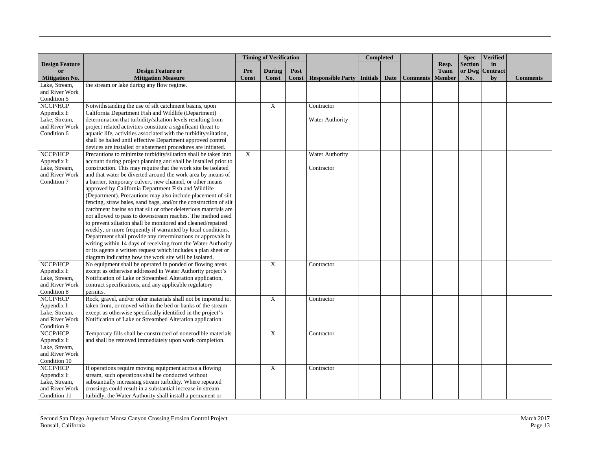|                       |                                                                   |             | <b>Timing of Verification</b> |       |                          | Completed |             |                 |               | <b>Spec</b>    | <b>Verified</b> |                 |
|-----------------------|-------------------------------------------------------------------|-------------|-------------------------------|-------|--------------------------|-----------|-------------|-----------------|---------------|----------------|-----------------|-----------------|
| <b>Design Feature</b> |                                                                   |             |                               |       |                          |           |             |                 | Resp.         | <b>Section</b> | in              |                 |
| or                    | <b>Design Feature or</b>                                          | Pre         | <b>During</b>                 | Post  |                          |           |             |                 | <b>Team</b>   | or Dwg         | <b>Contract</b> |                 |
| <b>Mitigation No.</b> | <b>Mitigation Measure</b>                                         | Const       | Const                         | Const | <b>Responsible Party</b> | Initials  | <b>Date</b> | <b>Comments</b> | <b>Member</b> | No.            | by              | <b>Comments</b> |
| Lake, Stream,         | the stream or lake during any flow regime.                        |             |                               |       |                          |           |             |                 |               |                |                 |                 |
| and River Work        |                                                                   |             |                               |       |                          |           |             |                 |               |                |                 |                 |
| Condition 5           |                                                                   |             |                               |       |                          |           |             |                 |               |                |                 |                 |
| NCCP/HCP              | Notwithstanding the use of silt catchment basins, upon            |             | $\mathbf X$                   |       | Contractor               |           |             |                 |               |                |                 |                 |
| Appendix I:           | California Department Fish and Wildlife (Department)              |             |                               |       |                          |           |             |                 |               |                |                 |                 |
| Lake, Stream,         | determination that turbidity/siltation levels resulting from      |             |                               |       | <b>Water Authority</b>   |           |             |                 |               |                |                 |                 |
| and River Work        | project related activities constitute a significant threat to     |             |                               |       |                          |           |             |                 |               |                |                 |                 |
| Condition 6           | aquatic life, activities associated with the turbidity/siltation, |             |                               |       |                          |           |             |                 |               |                |                 |                 |
|                       | shall be halted until effective Department approved control       |             |                               |       |                          |           |             |                 |               |                |                 |                 |
|                       | devices are installed or abatement procedures are initiated.      |             |                               |       |                          |           |             |                 |               |                |                 |                 |
| NCCP/HCP              | Precautions to minimize turbidity/siltation shall be taken into   | $\mathbf X$ |                               |       | Water Authority          |           |             |                 |               |                |                 |                 |
| Appendix I:           | account during project planning and shall be installed prior to   |             |                               |       |                          |           |             |                 |               |                |                 |                 |
| Lake, Stream,         | construction. This may require that the work site be isolated     |             |                               |       | Contractor               |           |             |                 |               |                |                 |                 |
| and River Work        | and that water be diverted around the work area by means of       |             |                               |       |                          |           |             |                 |               |                |                 |                 |
| Condition 7           | a barrier, temporary culvert, new channel, or other means         |             |                               |       |                          |           |             |                 |               |                |                 |                 |
|                       | approved by California Department Fish and Wildlife               |             |                               |       |                          |           |             |                 |               |                |                 |                 |
|                       | (Department). Precautions may also include placement of silt      |             |                               |       |                          |           |             |                 |               |                |                 |                 |
|                       | fencing, straw bales, sand bags, and/or the construction of silt  |             |                               |       |                          |           |             |                 |               |                |                 |                 |
|                       | catchment basins so that silt or other deleterious materials are  |             |                               |       |                          |           |             |                 |               |                |                 |                 |
|                       | not allowed to pass to downstream reaches. The method used        |             |                               |       |                          |           |             |                 |               |                |                 |                 |
|                       | to prevent siltation shall be monitored and cleaned/repaired      |             |                               |       |                          |           |             |                 |               |                |                 |                 |
|                       | weekly, or more frequently if warranted by local conditions.      |             |                               |       |                          |           |             |                 |               |                |                 |                 |
|                       | Department shall provide any determinations or approvals in       |             |                               |       |                          |           |             |                 |               |                |                 |                 |
|                       | writing within 14 days of receiving from the Water Authority      |             |                               |       |                          |           |             |                 |               |                |                 |                 |
|                       | or its agents a written request which includes a plan sheet or    |             |                               |       |                          |           |             |                 |               |                |                 |                 |
|                       | diagram indicating how the work site will be isolated.            |             |                               |       |                          |           |             |                 |               |                |                 |                 |
| NCCP/HCP              | No equipment shall be operated in ponded or flowing areas         |             | X                             |       | Contractor               |           |             |                 |               |                |                 |                 |
| Appendix I:           | except as otherwise addressed in Water Authority project's        |             |                               |       |                          |           |             |                 |               |                |                 |                 |
| Lake, Stream,         | Notification of Lake or Streambed Alteration application,         |             |                               |       |                          |           |             |                 |               |                |                 |                 |
| and River Work        | contract specifications, and any applicable regulatory            |             |                               |       |                          |           |             |                 |               |                |                 |                 |
| Condition 8           | permits.                                                          |             |                               |       |                          |           |             |                 |               |                |                 |                 |
| NCCP/HCP              | Rock, gravel, and/or other materials shall not be imported to,    |             | X                             |       | Contractor               |           |             |                 |               |                |                 |                 |
| Appendix I:           | taken from, or moved within the bed or banks of the stream        |             |                               |       |                          |           |             |                 |               |                |                 |                 |
| Lake, Stream,         | except as otherwise specifically identified in the project's      |             |                               |       |                          |           |             |                 |               |                |                 |                 |
| and River Work        | Notification of Lake or Streambed Alteration application.         |             |                               |       |                          |           |             |                 |               |                |                 |                 |
| Condition 9           |                                                                   |             |                               |       |                          |           |             |                 |               |                |                 |                 |
| NCCP/HCP              | Temporary fills shall be constructed of nonerodible materials     |             | X                             |       | Contractor               |           |             |                 |               |                |                 |                 |
| Appendix I:           | and shall be removed immediately upon work completion.            |             |                               |       |                          |           |             |                 |               |                |                 |                 |
| Lake, Stream,         |                                                                   |             |                               |       |                          |           |             |                 |               |                |                 |                 |
| and River Work        |                                                                   |             |                               |       |                          |           |             |                 |               |                |                 |                 |
| Condition 10          |                                                                   |             |                               |       |                          |           |             |                 |               |                |                 |                 |
| NCCP/HCP              | If operations require moving equipment across a flowing           |             | X                             |       | Contractor               |           |             |                 |               |                |                 |                 |
| Appendix I:           | stream, such operations shall be conducted without                |             |                               |       |                          |           |             |                 |               |                |                 |                 |
| Lake, Stream,         | substantially increasing stream turbidity. Where repeated         |             |                               |       |                          |           |             |                 |               |                |                 |                 |
| and River Work        | crossings could result in a substantial increase in stream        |             |                               |       |                          |           |             |                 |               |                |                 |                 |
| Condition 11          | turbidly, the Water Authority shall install a permanent or        |             |                               |       |                          |           |             |                 |               |                |                 |                 |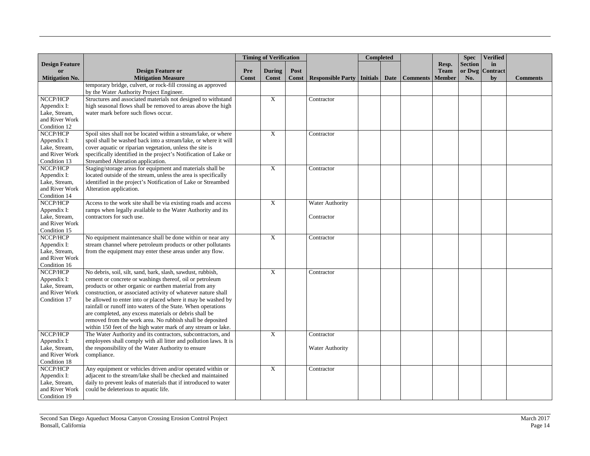|                                 |                                                                                                                               |       | <b>Timing of Verification</b> |       |                          | <b>Completed</b> |             |                 |               | <b>Spec</b>    | <b>Verified</b> |                 |
|---------------------------------|-------------------------------------------------------------------------------------------------------------------------------|-------|-------------------------------|-------|--------------------------|------------------|-------------|-----------------|---------------|----------------|-----------------|-----------------|
| <b>Design Feature</b>           |                                                                                                                               |       |                               |       |                          |                  |             |                 | Resp.         | <b>Section</b> | in              |                 |
| or                              | <b>Design Feature or</b>                                                                                                      | Pre   | <b>During</b>                 | Post  |                          |                  |             |                 | <b>Team</b>   | or Dwg         | Contract        |                 |
| <b>Mitigation No.</b>           | <b>Mitigation Measure</b><br>temporary bridge, culvert, or rock-fill crossing as approved                                     | Const | <b>Const</b>                  | Const | <b>Responsible Party</b> | <b>Initials</b>  | <b>Date</b> | <b>Comments</b> | <b>Member</b> | No.            | by              | <b>Comments</b> |
|                                 | by the Water Authority Project Engineer.                                                                                      |       |                               |       |                          |                  |             |                 |               |                |                 |                 |
| NCCP/HCP                        | Structures and associated materials not designed to withstand                                                                 |       | X                             |       | Contractor               |                  |             |                 |               |                |                 |                 |
| Appendix I:                     | high seasonal flows shall be removed to areas above the high                                                                  |       |                               |       |                          |                  |             |                 |               |                |                 |                 |
| Lake, Stream,                   | water mark before such flows occur.                                                                                           |       |                               |       |                          |                  |             |                 |               |                |                 |                 |
| and River Work                  |                                                                                                                               |       |                               |       |                          |                  |             |                 |               |                |                 |                 |
| Condition 12<br>NCCP/HCP        | Spoil sites shall not be located within a stream/lake, or where                                                               |       | X                             |       | Contractor               |                  |             |                 |               |                |                 |                 |
| Appendix I:                     | spoil shall be washed back into a stream/lake, or where it will                                                               |       |                               |       |                          |                  |             |                 |               |                |                 |                 |
| Lake, Stream,                   | cover aquatic or riparian vegetation, unless the site is                                                                      |       |                               |       |                          |                  |             |                 |               |                |                 |                 |
| and River Work                  | specifically identified in the project's Notification of Lake or                                                              |       |                               |       |                          |                  |             |                 |               |                |                 |                 |
| Condition 13                    | Streambed Alteration application.                                                                                             |       |                               |       |                          |                  |             |                 |               |                |                 |                 |
| NCCP/HCP                        | Staging/storage areas for equipment and materials shall be                                                                    |       | $\mathbf X$                   |       | Contractor               |                  |             |                 |               |                |                 |                 |
| Appendix I:                     | located outside of the stream, unless the area is specifically                                                                |       |                               |       |                          |                  |             |                 |               |                |                 |                 |
| Lake, Stream.<br>and River Work | identified in the project's Notification of Lake or Streambed<br>Alteration application.                                      |       |                               |       |                          |                  |             |                 |               |                |                 |                 |
| Condition 14                    |                                                                                                                               |       |                               |       |                          |                  |             |                 |               |                |                 |                 |
| NCCP/HCP                        | Access to the work site shall be via existing roads and access                                                                |       | X                             |       | <b>Water Authority</b>   |                  |             |                 |               |                |                 |                 |
| Appendix I:                     | ramps when legally available to the Water Authority and its                                                                   |       |                               |       |                          |                  |             |                 |               |                |                 |                 |
| Lake, Stream,                   | contractors for such use.                                                                                                     |       |                               |       | Contractor               |                  |             |                 |               |                |                 |                 |
| and River Work                  |                                                                                                                               |       |                               |       |                          |                  |             |                 |               |                |                 |                 |
| Condition 15<br>NCCP/HCP        |                                                                                                                               |       | $\mathbf X$                   |       |                          |                  |             |                 |               |                |                 |                 |
| Appendix I:                     | No equipment maintenance shall be done within or near any<br>stream channel where petroleum products or other pollutants      |       |                               |       | Contractor               |                  |             |                 |               |                |                 |                 |
| Lake, Stream,                   | from the equipment may enter these areas under any flow.                                                                      |       |                               |       |                          |                  |             |                 |               |                |                 |                 |
| and River Work                  |                                                                                                                               |       |                               |       |                          |                  |             |                 |               |                |                 |                 |
| Condition 16                    |                                                                                                                               |       |                               |       |                          |                  |             |                 |               |                |                 |                 |
| NCCP/HCP                        | No debris, soil, silt, sand, bark, slash, sawdust, rubbish,                                                                   |       | X                             |       | Contractor               |                  |             |                 |               |                |                 |                 |
| Appendix I:                     | cement or concrete or washings thereof, oil or petroleum                                                                      |       |                               |       |                          |                  |             |                 |               |                |                 |                 |
| Lake, Stream,                   | products or other organic or earthen material from any                                                                        |       |                               |       |                          |                  |             |                 |               |                |                 |                 |
| and River Work<br>Condition 17  | construction, or associated activity of whatever nature shall<br>be allowed to enter into or placed where it may be washed by |       |                               |       |                          |                  |             |                 |               |                |                 |                 |
|                                 | rainfall or runoff into waters of the State. When operations                                                                  |       |                               |       |                          |                  |             |                 |               |                |                 |                 |
|                                 | are completed, any excess materials or debris shall be                                                                        |       |                               |       |                          |                  |             |                 |               |                |                 |                 |
|                                 | removed from the work area. No rubbish shall be deposited                                                                     |       |                               |       |                          |                  |             |                 |               |                |                 |                 |
|                                 | within 150 feet of the high water mark of any stream or lake.                                                                 |       |                               |       |                          |                  |             |                 |               |                |                 |                 |
| NCCP/HCP                        | The Water Authority and its contractors, subcontractors, and                                                                  |       | $\overline{X}$                |       | Contractor               |                  |             |                 |               |                |                 |                 |
| Appendix I:<br>Lake, Stream,    | employees shall comply with all litter and pollution laws. It is                                                              |       |                               |       | <b>Water Authority</b>   |                  |             |                 |               |                |                 |                 |
| and River Work                  | the responsibility of the Water Authority to ensure<br>compliance.                                                            |       |                               |       |                          |                  |             |                 |               |                |                 |                 |
| Condition 18                    |                                                                                                                               |       |                               |       |                          |                  |             |                 |               |                |                 |                 |
| NCCP/HCP                        | Any equipment or vehicles driven and/or operated within or                                                                    |       | X                             |       | Contractor               |                  |             |                 |               |                |                 |                 |
| Appendix I:                     | adjacent to the stream/lake shall be checked and maintained                                                                   |       |                               |       |                          |                  |             |                 |               |                |                 |                 |
| Lake, Stream,                   | daily to prevent leaks of materials that if introduced to water                                                               |       |                               |       |                          |                  |             |                 |               |                |                 |                 |
| and River Work                  | could be deleterious to aquatic life.                                                                                         |       |                               |       |                          |                  |             |                 |               |                |                 |                 |
| Condition 19                    |                                                                                                                               |       |                               |       |                          |                  |             |                 |               |                |                 |                 |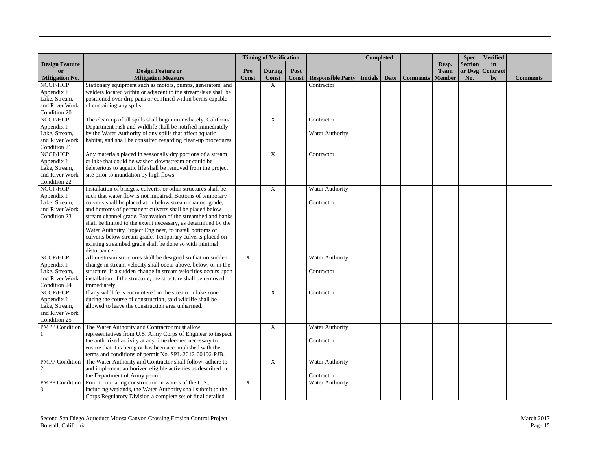|                                 |                                                                                                                                 |                | <b>Timing of Verification</b> |              |                          | Completed       |             |                 |               | <b>Spec</b>    | <b>Verified</b> |                 |
|---------------------------------|---------------------------------------------------------------------------------------------------------------------------------|----------------|-------------------------------|--------------|--------------------------|-----------------|-------------|-----------------|---------------|----------------|-----------------|-----------------|
| <b>Design Feature</b>           |                                                                                                                                 |                |                               |              |                          |                 |             |                 | Resp.         | <b>Section</b> | in              |                 |
| or                              | <b>Design Feature or</b>                                                                                                        | Pre            | <b>During</b>                 | Post         |                          |                 |             |                 | <b>Team</b>   | or Dwg         | <b>Contract</b> |                 |
| <b>Mitigation No.</b>           | <b>Mitigation Measure</b>                                                                                                       | Const          | <b>Const</b>                  | <b>Const</b> | <b>Responsible Party</b> | <b>Initials</b> | <b>Date</b> | <b>Comments</b> | <b>Member</b> | No.            | by              | <b>Comments</b> |
| NCCP/HCP                        | Stationary equipment such as motors, pumps, generators, and                                                                     |                | X                             |              | Contractor               |                 |             |                 |               |                |                 |                 |
| Appendix I:<br>Lake, Stream,    | welders located within or adjacent to the stream/lake shall be                                                                  |                |                               |              |                          |                 |             |                 |               |                |                 |                 |
| and River Work                  | positioned over drip pans or confined within berms capable<br>of containing any spills.                                         |                |                               |              |                          |                 |             |                 |               |                |                 |                 |
| Condition 20                    |                                                                                                                                 |                |                               |              |                          |                 |             |                 |               |                |                 |                 |
| NCCP/HCP                        | The clean-up of all spills shall begin immediately. California                                                                  |                | $\mathbf X$                   |              | Contractor               |                 |             |                 |               |                |                 |                 |
| Appendix I:                     | Department Fish and Wildlife shall be notified immediately                                                                      |                |                               |              |                          |                 |             |                 |               |                |                 |                 |
| Lake, Stream,                   | by the Water Authority of any spills that affect aquatic                                                                        |                |                               |              | <b>Water Authority</b>   |                 |             |                 |               |                |                 |                 |
| and River Work                  | habitat, and shall be consulted regarding clean-up procedures.                                                                  |                |                               |              |                          |                 |             |                 |               |                |                 |                 |
| Condition 21                    |                                                                                                                                 |                |                               |              |                          |                 |             |                 |               |                |                 |                 |
| NCCP/HCP                        | Any materials placed in seasonally dry portions of a stream                                                                     |                | X                             |              | Contractor               |                 |             |                 |               |                |                 |                 |
| Appendix I:                     | or lake that could be washed downstream or could be                                                                             |                |                               |              |                          |                 |             |                 |               |                |                 |                 |
| Lake, Stream,                   | deleterious to aquatic life shall be removed from the project                                                                   |                |                               |              |                          |                 |             |                 |               |                |                 |                 |
| and River Work                  | site prior to inundation by high flows.                                                                                         |                |                               |              |                          |                 |             |                 |               |                |                 |                 |
| Condition 22                    |                                                                                                                                 |                |                               |              |                          |                 |             |                 |               |                |                 |                 |
| NCCP/HCP<br>Appendix I:         | Installation of bridges, culverts, or other structures shall be<br>such that water flow is not impaired. Bottoms of temporary   |                | $\mathbf X$                   |              | Water Authority          |                 |             |                 |               |                |                 |                 |
| Lake, Stream,                   | culverts shall be placed at or below stream channel grade,                                                                      |                |                               |              | Contractor               |                 |             |                 |               |                |                 |                 |
| and River Work                  | and bottoms of permanent culverts shall be placed below                                                                         |                |                               |              |                          |                 |             |                 |               |                |                 |                 |
| Condition 23                    | stream channel grade. Excavation of the streambed and banks                                                                     |                |                               |              |                          |                 |             |                 |               |                |                 |                 |
|                                 | shall be limited to the extent necessary, as determined by the                                                                  |                |                               |              |                          |                 |             |                 |               |                |                 |                 |
|                                 | Water Authority Project Engineer, to install bottoms of                                                                         |                |                               |              |                          |                 |             |                 |               |                |                 |                 |
|                                 | culverts below stream grade. Temporary culverts placed on                                                                       |                |                               |              |                          |                 |             |                 |               |                |                 |                 |
|                                 | existing streambed grade shall be done so with minimal                                                                          |                |                               |              |                          |                 |             |                 |               |                |                 |                 |
|                                 | disturbance.                                                                                                                    |                |                               |              |                          |                 |             |                 |               |                |                 |                 |
| NCCP/HCP                        | All in-stream structures shall be designed so that no sudden                                                                    | $\overline{X}$ |                               |              | Water Authority          |                 |             |                 |               |                |                 |                 |
| Appendix I:                     | change in stream velocity shall occur above, below, or in the                                                                   |                |                               |              |                          |                 |             |                 |               |                |                 |                 |
| Lake, Stream,<br>and River Work | structure. If a sudden change in stream velocities occurs upon<br>installation of the structure, the structure shall be removed |                |                               |              | Contractor               |                 |             |                 |               |                |                 |                 |
| Condition 24                    | immediately.                                                                                                                    |                |                               |              |                          |                 |             |                 |               |                |                 |                 |
| NCCP/HCP                        | If any wildlife is encountered in the stream or lake zone                                                                       |                | X                             |              | Contractor               |                 |             |                 |               |                |                 |                 |
| Appendix I:                     | during the course of construction, said wildlife shall be                                                                       |                |                               |              |                          |                 |             |                 |               |                |                 |                 |
| Lake, Stream.                   | allowed to leave the construction area unharmed.                                                                                |                |                               |              |                          |                 |             |                 |               |                |                 |                 |
| and River Work                  |                                                                                                                                 |                |                               |              |                          |                 |             |                 |               |                |                 |                 |
| Condition 25                    |                                                                                                                                 |                |                               |              |                          |                 |             |                 |               |                |                 |                 |
| <b>PMPP</b> Condition           | The Water Authority and Contractor must allow                                                                                   |                | $\mathbf X$                   |              | Water Authority          |                 |             |                 |               |                |                 |                 |
|                                 | representatives from U.S. Army Corps of Engineer to inspect                                                                     |                |                               |              |                          |                 |             |                 |               |                |                 |                 |
|                                 | the authorized activity at any time deemed necessary to<br>ensure that it is being or has been accomplished with the            |                |                               |              | Contractor               |                 |             |                 |               |                |                 |                 |
|                                 | terms and conditions of permit No. SPL-2012-00106-PJB.                                                                          |                |                               |              |                          |                 |             |                 |               |                |                 |                 |
| <b>PMPP</b> Condition           | The Water Authority and Contractor shall follow, adhere to                                                                      |                | $\mathbf X$                   |              | Water Authority          |                 |             |                 |               |                |                 |                 |
| $\overline{c}$                  | and implement authorized eligible activities as described in                                                                    |                |                               |              |                          |                 |             |                 |               |                |                 |                 |
|                                 | the Department of Army permit.                                                                                                  |                |                               |              | Contractor               |                 |             |                 |               |                |                 |                 |
| <b>PMPP</b> Condition           | Prior to initiating construction in waters of the U.S.,                                                                         | $\overline{X}$ |                               |              | Water Authority          |                 |             |                 |               |                |                 |                 |
| 3                               | including wetlands, the Water Authority shall submit to the                                                                     |                |                               |              |                          |                 |             |                 |               |                |                 |                 |
|                                 | Corps Regulatory Division a complete set of final detailed                                                                      |                |                               |              |                          |                 |             |                 |               |                |                 |                 |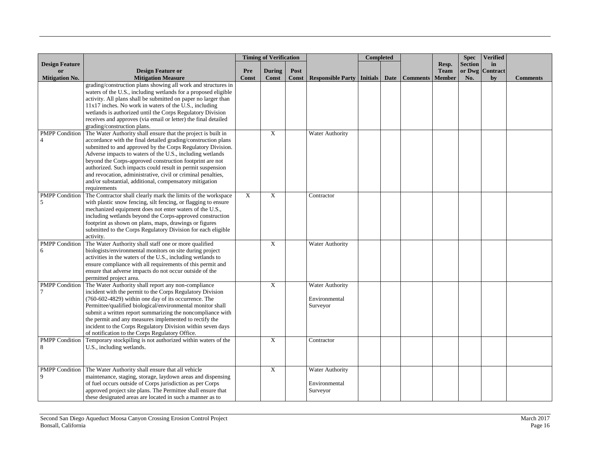|                            |                                                                                                                         |                | <b>Timing of Verification</b> |              |                          | <b>Completed</b> |      |                 | <b>Spec</b>   | <b>Verified</b> |                 |                 |
|----------------------------|-------------------------------------------------------------------------------------------------------------------------|----------------|-------------------------------|--------------|--------------------------|------------------|------|-----------------|---------------|-----------------|-----------------|-----------------|
| <b>Design Feature</b>      |                                                                                                                         |                |                               |              |                          |                  |      |                 | Resp.         | <b>Section</b>  | in              |                 |
| <b>or</b>                  | <b>Design Feature or</b>                                                                                                | Pre            | <b>During</b>                 | Post         |                          |                  |      |                 | <b>Team</b>   | or Dwg          | <b>Contract</b> |                 |
| <b>Mitigation No.</b>      | <b>Mitigation Measure</b>                                                                                               | Const          | <b>Const</b>                  | <b>Const</b> | <b>Responsible Party</b> | <b>Initials</b>  | Date | <b>Comments</b> | <b>Member</b> | No.             | by              | <b>Comments</b> |
|                            | grading/construction plans showing all work and structures in                                                           |                |                               |              |                          |                  |      |                 |               |                 |                 |                 |
|                            | waters of the U.S., including wetlands for a proposed eligible                                                          |                |                               |              |                          |                  |      |                 |               |                 |                 |                 |
|                            | activity. All plans shall be submitted on paper no larger than                                                          |                |                               |              |                          |                  |      |                 |               |                 |                 |                 |
|                            | 11x17 inches. No work in waters of the U.S., including                                                                  |                |                               |              |                          |                  |      |                 |               |                 |                 |                 |
|                            | wetlands is authorized until the Corps Regulatory Division                                                              |                |                               |              |                          |                  |      |                 |               |                 |                 |                 |
|                            | receives and approves (via email or letter) the final detailed                                                          |                |                               |              |                          |                  |      |                 |               |                 |                 |                 |
| <b>PMPP</b> Condition      | grading/construction plans.<br>The Water Authority shall ensure that the project is built in                            |                | $\mathbf X$                   |              |                          |                  |      |                 |               |                 |                 |                 |
|                            | accordance with the final detailed grading/construction plans                                                           |                |                               |              | <b>Water Authority</b>   |                  |      |                 |               |                 |                 |                 |
|                            | submitted to and approved by the Corps Regulatory Division.                                                             |                |                               |              |                          |                  |      |                 |               |                 |                 |                 |
|                            | Adverse impacts to waters of the U.S., including wetlands                                                               |                |                               |              |                          |                  |      |                 |               |                 |                 |                 |
|                            | beyond the Corps-approved construction footprint are not                                                                |                |                               |              |                          |                  |      |                 |               |                 |                 |                 |
|                            | authorized. Such impacts could result in permit suspension                                                              |                |                               |              |                          |                  |      |                 |               |                 |                 |                 |
|                            | and revocation, administrative, civil or criminal penalties,                                                            |                |                               |              |                          |                  |      |                 |               |                 |                 |                 |
|                            | and/or substantial, additional, compensatory mitigation                                                                 |                |                               |              |                          |                  |      |                 |               |                 |                 |                 |
|                            | requirements                                                                                                            |                |                               |              |                          |                  |      |                 |               |                 |                 |                 |
| <b>PMPP</b> Condition      | The Contractor shall clearly mark the limits of the workspace                                                           | $\overline{X}$ | X                             |              | Contractor               |                  |      |                 |               |                 |                 |                 |
| 5                          | with plastic snow fencing, silt fencing, or flagging to ensure                                                          |                |                               |              |                          |                  |      |                 |               |                 |                 |                 |
|                            | mechanized equipment does not enter waters of the U.S.,                                                                 |                |                               |              |                          |                  |      |                 |               |                 |                 |                 |
|                            | including wetlands beyond the Corps-approved construction                                                               |                |                               |              |                          |                  |      |                 |               |                 |                 |                 |
|                            | footprint as shown on plans, maps, drawings or figures                                                                  |                |                               |              |                          |                  |      |                 |               |                 |                 |                 |
|                            | submitted to the Corps Regulatory Division for each eligible                                                            |                |                               |              |                          |                  |      |                 |               |                 |                 |                 |
|                            | activity.                                                                                                               |                |                               |              |                          |                  |      |                 |               |                 |                 |                 |
| <b>PMPP</b> Condition      | The Water Authority shall staff one or more qualified                                                                   |                | X                             |              | Water Authority          |                  |      |                 |               |                 |                 |                 |
| 6                          | biologists/environmental monitors on site during project<br>activities in the waters of the U.S., including wetlands to |                |                               |              |                          |                  |      |                 |               |                 |                 |                 |
|                            | ensure compliance with all requirements of this permit and                                                              |                |                               |              |                          |                  |      |                 |               |                 |                 |                 |
|                            | ensure that adverse impacts do not occur outside of the                                                                 |                |                               |              |                          |                  |      |                 |               |                 |                 |                 |
|                            | permitted project area.                                                                                                 |                |                               |              |                          |                  |      |                 |               |                 |                 |                 |
| <b>PMPP</b> Condition      | The Water Authority shall report any non-compliance                                                                     |                | $\mathbf X$                   |              | <b>Water Authority</b>   |                  |      |                 |               |                 |                 |                 |
|                            | incident with the permit to the Corps Regulatory Division                                                               |                |                               |              |                          |                  |      |                 |               |                 |                 |                 |
|                            | (760-602-4829) within one day of its occurrence. The                                                                    |                |                               |              | Environmental            |                  |      |                 |               |                 |                 |                 |
|                            | Permittee/qualified biological/environmental monitor shall                                                              |                |                               |              | Surveyor                 |                  |      |                 |               |                 |                 |                 |
|                            | submit a written report summarizing the noncompliance with                                                              |                |                               |              |                          |                  |      |                 |               |                 |                 |                 |
|                            | the permit and any measures implemented to rectify the                                                                  |                |                               |              |                          |                  |      |                 |               |                 |                 |                 |
|                            | incident to the Corps Regulatory Division within seven days                                                             |                |                               |              |                          |                  |      |                 |               |                 |                 |                 |
|                            | of notification to the Corps Regulatory Office.                                                                         |                |                               |              |                          |                  |      |                 |               |                 |                 |                 |
| <b>PMPP</b> Condition      | Temporary stockpiling is not authorized within waters of the                                                            |                | X                             |              | Contractor               |                  |      |                 |               |                 |                 |                 |
| 8                          | U.S., including wetlands.                                                                                               |                |                               |              |                          |                  |      |                 |               |                 |                 |                 |
|                            |                                                                                                                         |                |                               |              |                          |                  |      |                 |               |                 |                 |                 |
|                            |                                                                                                                         |                |                               |              |                          |                  |      |                 |               |                 |                 |                 |
| <b>PMPP</b> Condition<br>9 | The Water Authority shall ensure that all vehicle<br>maintenance, staging, storage, laydown areas and dispensing        |                | X                             |              | <b>Water Authority</b>   |                  |      |                 |               |                 |                 |                 |
|                            | of fuel occurs outside of Corps jurisdiction as per Corps                                                               |                |                               |              | Environmental            |                  |      |                 |               |                 |                 |                 |
|                            | approved project site plans. The Permittee shall ensure that                                                            |                |                               |              | Surveyor                 |                  |      |                 |               |                 |                 |                 |
|                            | these designated areas are located in such a manner as to                                                               |                |                               |              |                          |                  |      |                 |               |                 |                 |                 |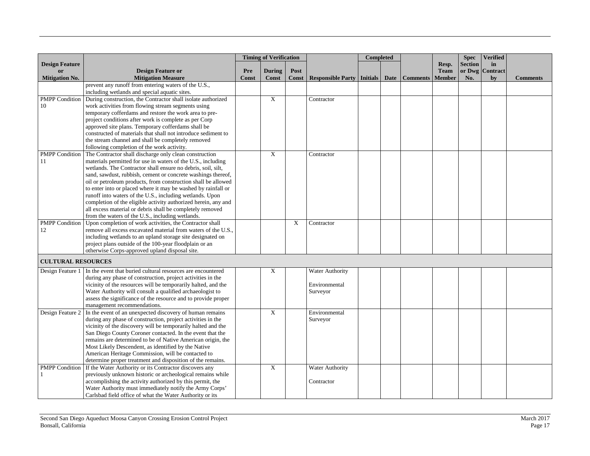|                           |                                                                                                                               | <b>Timing of Verification</b> |               |              | <b>Completed</b>         |          |             |                 | <b>Spec</b>   | <b>Verified</b> |                 |                 |
|---------------------------|-------------------------------------------------------------------------------------------------------------------------------|-------------------------------|---------------|--------------|--------------------------|----------|-------------|-----------------|---------------|-----------------|-----------------|-----------------|
| <b>Design Feature</b>     |                                                                                                                               |                               |               |              |                          |          |             |                 | Resp.         | <b>Section</b>  | in              |                 |
| or                        | <b>Design Feature or</b>                                                                                                      | Pre                           | <b>During</b> | Post         |                          |          |             |                 | <b>Team</b>   | or Dwg          | <b>Contract</b> |                 |
| <b>Mitigation No.</b>     | <b>Mitigation Measure</b>                                                                                                     | <b>Const</b>                  | Const         | <b>Const</b> | <b>Responsible Party</b> | Initials | <b>Date</b> | <b>Comments</b> | <b>Member</b> | No.             | by              | <b>Comments</b> |
|                           | prevent any runoff from entering waters of the U.S.,                                                                          |                               |               |              |                          |          |             |                 |               |                 |                 |                 |
|                           | including wetlands and special aquatic sites.                                                                                 |                               |               |              |                          |          |             |                 |               |                 |                 |                 |
| <b>PMPP</b> Condition     | During construction, the Contractor shall isolate authorized                                                                  |                               | $\mathbf X$   |              | Contractor               |          |             |                 |               |                 |                 |                 |
| 10                        | work activities from flowing stream segments using                                                                            |                               |               |              |                          |          |             |                 |               |                 |                 |                 |
|                           | temporary cofferdams and restore the work area to pre-                                                                        |                               |               |              |                          |          |             |                 |               |                 |                 |                 |
|                           | project conditions after work is complete as per Corp                                                                         |                               |               |              |                          |          |             |                 |               |                 |                 |                 |
|                           | approved site plans. Temporary cofferdams shall be                                                                            |                               |               |              |                          |          |             |                 |               |                 |                 |                 |
|                           | constructed of materials that shall not introduce sediment to                                                                 |                               |               |              |                          |          |             |                 |               |                 |                 |                 |
|                           | the stream channel and shall be completely removed                                                                            |                               |               |              |                          |          |             |                 |               |                 |                 |                 |
|                           | following completion of the work activity.                                                                                    |                               |               |              |                          |          |             |                 |               |                 |                 |                 |
| <b>PMPP</b> Condition     | The Contractor shall discharge only clean construction                                                                        |                               | X             |              | Contractor               |          |             |                 |               |                 |                 |                 |
| 11                        | materials permitted for use in waters of the U.S., including                                                                  |                               |               |              |                          |          |             |                 |               |                 |                 |                 |
|                           | wetlands. The Contractor shall ensure no debris, soil, silt,                                                                  |                               |               |              |                          |          |             |                 |               |                 |                 |                 |
|                           | sand, sawdust, rubbish, cement or concrete washings thereof,<br>oil or petroleum products, from construction shall be allowed |                               |               |              |                          |          |             |                 |               |                 |                 |                 |
|                           | to enter into or placed where it may be washed by rainfall or                                                                 |                               |               |              |                          |          |             |                 |               |                 |                 |                 |
|                           | runoff into waters of the U.S., including wetlands. Upon                                                                      |                               |               |              |                          |          |             |                 |               |                 |                 |                 |
|                           | completion of the eligible activity authorized herein, any and                                                                |                               |               |              |                          |          |             |                 |               |                 |                 |                 |
|                           | all excess material or debris shall be completely removed                                                                     |                               |               |              |                          |          |             |                 |               |                 |                 |                 |
|                           | from the waters of the U.S., including wetlands.                                                                              |                               |               |              |                          |          |             |                 |               |                 |                 |                 |
| <b>PMPP</b> Condition     | Upon completion of work activities, the Contractor shall                                                                      |                               |               | X            | Contractor               |          |             |                 |               |                 |                 |                 |
| 12                        | remove all excess excavated material from waters of the U.S.,                                                                 |                               |               |              |                          |          |             |                 |               |                 |                 |                 |
|                           | including wetlands to an upland storage site designated on                                                                    |                               |               |              |                          |          |             |                 |               |                 |                 |                 |
|                           | project plans outside of the 100-year floodplain or an                                                                        |                               |               |              |                          |          |             |                 |               |                 |                 |                 |
|                           | otherwise Corps-approved upland disposal site.                                                                                |                               |               |              |                          |          |             |                 |               |                 |                 |                 |
| <b>CULTURAL RESOURCES</b> |                                                                                                                               |                               |               |              |                          |          |             |                 |               |                 |                 |                 |
| Design Feature 1          | In the event that buried cultural resources are encountered                                                                   |                               | X             |              |                          |          |             |                 |               |                 |                 |                 |
|                           | during any phase of construction, project activities in the                                                                   |                               |               |              | Water Authority          |          |             |                 |               |                 |                 |                 |
|                           | vicinity of the resources will be temporarily halted, and the                                                                 |                               |               |              | Environmental            |          |             |                 |               |                 |                 |                 |
|                           | Water Authority will consult a qualified archaeologist to                                                                     |                               |               |              | Surveyor                 |          |             |                 |               |                 |                 |                 |
|                           | assess the significance of the resource and to provide proper                                                                 |                               |               |              |                          |          |             |                 |               |                 |                 |                 |
|                           | management recommendations.                                                                                                   |                               |               |              |                          |          |             |                 |               |                 |                 |                 |
| Design Feature 2          | In the event of an unexpected discovery of human remains                                                                      |                               | X             |              | Environmental            |          |             |                 |               |                 |                 |                 |
|                           | during any phase of construction, project activities in the                                                                   |                               |               |              | Surveyor                 |          |             |                 |               |                 |                 |                 |
|                           | vicinity of the discovery will be temporarily halted and the                                                                  |                               |               |              |                          |          |             |                 |               |                 |                 |                 |
|                           | San Diego County Coroner contacted. In the event that the                                                                     |                               |               |              |                          |          |             |                 |               |                 |                 |                 |
|                           | remains are determined to be of Native American origin, the                                                                   |                               |               |              |                          |          |             |                 |               |                 |                 |                 |
|                           | Most Likely Descendent, as identified by the Native                                                                           |                               |               |              |                          |          |             |                 |               |                 |                 |                 |
|                           | American Heritage Commission, will be contacted to                                                                            |                               |               |              |                          |          |             |                 |               |                 |                 |                 |
|                           | determine proper treatment and disposition of the remains.                                                                    |                               |               |              |                          |          |             |                 |               |                 |                 |                 |
| <b>PMPP</b> Condition     | If the Water Authority or its Contractor discovers any                                                                        |                               | $\mathbf X$   |              | <b>Water Authority</b>   |          |             |                 |               |                 |                 |                 |
|                           | previously unknown historic or archeological remains while                                                                    |                               |               |              |                          |          |             |                 |               |                 |                 |                 |
|                           | accomplishing the activity authorized by this permit, the                                                                     |                               |               |              | Contractor               |          |             |                 |               |                 |                 |                 |
|                           | Water Authority must immediately notify the Army Corps'                                                                       |                               |               |              |                          |          |             |                 |               |                 |                 |                 |
|                           | Carlsbad field office of what the Water Authority or its                                                                      |                               |               |              |                          |          |             |                 |               |                 |                 |                 |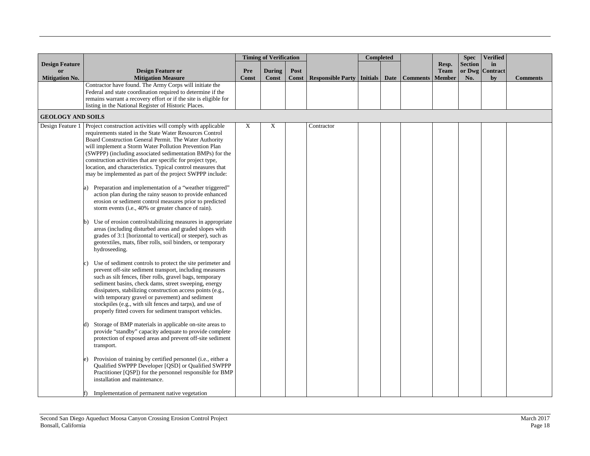|                                                                                                                                                                                                                                                                                                                                                                                                                                                                                                                                                                                                                                                                                                                                                                                                                                                                                                                                                                                                                                                                                                                                                                                                                                                                                                                                                                                                                                                                                                                                                                                                                                                                                                                                                                                                                                                                                                 | <b>Timing of Verification</b> |                               |               | <b>Completed</b> |  |      |                                     | <b>Spec</b>          |                          |                |                                          |
|-------------------------------------------------------------------------------------------------------------------------------------------------------------------------------------------------------------------------------------------------------------------------------------------------------------------------------------------------------------------------------------------------------------------------------------------------------------------------------------------------------------------------------------------------------------------------------------------------------------------------------------------------------------------------------------------------------------------------------------------------------------------------------------------------------------------------------------------------------------------------------------------------------------------------------------------------------------------------------------------------------------------------------------------------------------------------------------------------------------------------------------------------------------------------------------------------------------------------------------------------------------------------------------------------------------------------------------------------------------------------------------------------------------------------------------------------------------------------------------------------------------------------------------------------------------------------------------------------------------------------------------------------------------------------------------------------------------------------------------------------------------------------------------------------------------------------------------------------------------------------------------------------|-------------------------------|-------------------------------|---------------|------------------|--|------|-------------------------------------|----------------------|--------------------------|----------------|------------------------------------------|
| <b>Design Feature or</b><br><b>Mitigation Measure</b>                                                                                                                                                                                                                                                                                                                                                                                                                                                                                                                                                                                                                                                                                                                                                                                                                                                                                                                                                                                                                                                                                                                                                                                                                                                                                                                                                                                                                                                                                                                                                                                                                                                                                                                                                                                                                                           | Pre<br><b>Const</b>           | <b>During</b><br><b>Const</b> | Post<br>Const |                  |  | Date |                                     | Resp.<br><b>Team</b> | or Dwg<br>No.            | by             | <b>Comments</b>                          |
| Contractor have found. The Army Corps will initiate the<br>Federal and state coordination required to determine if the<br>remains warrant a recovery effort or if the site is eligible for<br>listing in the National Register of Historic Places.                                                                                                                                                                                                                                                                                                                                                                                                                                                                                                                                                                                                                                                                                                                                                                                                                                                                                                                                                                                                                                                                                                                                                                                                                                                                                                                                                                                                                                                                                                                                                                                                                                              |                               |                               |               |                  |  |      |                                     |                      |                          |                |                                          |
| <b>GEOLOGY AND SOILS</b>                                                                                                                                                                                                                                                                                                                                                                                                                                                                                                                                                                                                                                                                                                                                                                                                                                                                                                                                                                                                                                                                                                                                                                                                                                                                                                                                                                                                                                                                                                                                                                                                                                                                                                                                                                                                                                                                        |                               |                               |               |                  |  |      |                                     |                      |                          |                |                                          |
| Project construction activities will comply with applicable<br>requirements stated in the State Water Resources Control<br>Board Construction General Permit. The Water Authority<br>will implement a Storm Water Pollution Prevention Plan<br>(SWPPP) (including associated sedimentation BMPs) for the<br>construction activities that are specific for project type,<br>location, and characteristics. Typical control measures that<br>may be implemented as part of the project SWPPP include:<br>a) Preparation and implementation of a "weather triggered"<br>action plan during the rainy season to provide enhanced<br>erosion or sediment control measures prior to predicted<br>storm events (i.e., 40% or greater chance of rain).<br>Use of erosion control/stabilizing measures in appropriate<br>areas (including disturbed areas and graded slopes with<br>grades of 3:1 [horizontal to vertical] or steeper), such as<br>geotextiles, mats, fiber rolls, soil binders, or temporary<br>hydroseeding.<br>Use of sediment controls to protect the site perimeter and<br>prevent off-site sediment transport, including measures<br>such as silt fences, fiber rolls, gravel bags, temporary<br>sediment basins, check dams, street sweeping, energy<br>dissipaters, stabilizing construction access points (e.g.,<br>with temporary gravel or pavement) and sediment<br>stockpiles (e.g., with silt fences and tarps), and use of<br>properly fitted covers for sediment transport vehicles.<br>Storage of BMP materials in applicable on-site areas to<br>provide "standby" capacity adequate to provide complete<br>protection of exposed areas and prevent off-site sediment<br>transport.<br>Provision of training by certified personnel (i.e., either a<br>Qualified SWPPP Developer [QSD] or Qualified SWPPP<br>Practitioner [QSP]) for the personnel responsible for BMP | X                             | X                             |               | Contractor       |  |      |                                     |                      |                          |                |                                          |
| Implementation of permanent native vegetation                                                                                                                                                                                                                                                                                                                                                                                                                                                                                                                                                                                                                                                                                                                                                                                                                                                                                                                                                                                                                                                                                                                                                                                                                                                                                                                                                                                                                                                                                                                                                                                                                                                                                                                                                                                                                                                   |                               |                               |               |                  |  |      |                                     |                      |                          |                |                                          |
|                                                                                                                                                                                                                                                                                                                                                                                                                                                                                                                                                                                                                                                                                                                                                                                                                                                                                                                                                                                                                                                                                                                                                                                                                                                                                                                                                                                                                                                                                                                                                                                                                                                                                                                                                                                                                                                                                                 | installation and maintenance. |                               |               |                  |  |      | <b>Responsible Party   Initials</b> |                      | <b>Comments   Member</b> | <b>Section</b> | <b>Verified</b><br>in<br><b>Contract</b> |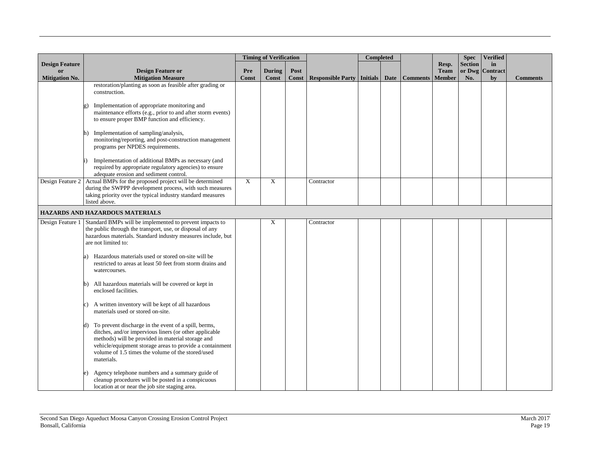|                                        |                                                                                                                                                                                                                                                                                                          |              | <b>Timing of Verification</b> |                      |                                       | <b>Completed</b> |             |                 | <b>Spec</b>                  | <b>Verified</b> |                       |                 |
|----------------------------------------|----------------------------------------------------------------------------------------------------------------------------------------------------------------------------------------------------------------------------------------------------------------------------------------------------------|--------------|-------------------------------|----------------------|---------------------------------------|------------------|-------------|-----------------|------------------------------|-----------------|-----------------------|-----------------|
| <b>Design Feature</b>                  | <b>Design Feature or</b>                                                                                                                                                                                                                                                                                 |              | <b>During</b>                 |                      |                                       |                  |             |                 | Resp.                        | <b>Section</b>  | in                    |                 |
| <sub>or</sub><br><b>Mitigation No.</b> | <b>Mitigation Measure</b>                                                                                                                                                                                                                                                                                | Pre<br>Const | <b>Const</b>                  | Post<br><b>Const</b> | <b>Responsible Party   Initials  </b> |                  | <b>Date</b> | <b>Comments</b> | <b>Team</b><br><b>Member</b> | No.             | or Dwg Contract<br>by | <b>Comments</b> |
|                                        | restoration/planting as soon as feasible after grading or<br>construction.                                                                                                                                                                                                                               |              |                               |                      |                                       |                  |             |                 |                              |                 |                       |                 |
|                                        | Implementation of appropriate monitoring and<br>maintenance efforts (e.g., prior to and after storm events)<br>to ensure proper BMP function and efficiency.                                                                                                                                             |              |                               |                      |                                       |                  |             |                 |                              |                 |                       |                 |
|                                        | Implementation of sampling/analysis,<br>monitoring/reporting, and post-construction management<br>programs per NPDES requirements.                                                                                                                                                                       |              |                               |                      |                                       |                  |             |                 |                              |                 |                       |                 |
|                                        | Implementation of additional BMPs as necessary (and<br>required by appropriate regulatory agencies) to ensure<br>adequate erosion and sediment control.                                                                                                                                                  |              |                               |                      |                                       |                  |             |                 |                              |                 |                       |                 |
|                                        | Design Feature 2 Actual BMPs for the proposed project will be determined<br>during the SWPPP development process, with such measures<br>taking priority over the typical industry standard measures<br>listed above.                                                                                     | $\mathbf X$  | X                             |                      | Contractor                            |                  |             |                 |                              |                 |                       |                 |
|                                        | HAZARDS AND HAZARDOUS MATERIALS                                                                                                                                                                                                                                                                          |              |                               |                      |                                       |                  |             |                 |                              |                 |                       |                 |
| Design Feature 1                       | Standard BMPs will be implemented to prevent impacts to<br>the public through the transport, use, or disposal of any<br>hazardous materials. Standard industry measures include, but<br>are not limited to:                                                                                              |              | Χ                             |                      | Contractor                            |                  |             |                 |                              |                 |                       |                 |
|                                        | a) Hazardous materials used or stored on-site will be<br>restricted to areas at least 50 feet from storm drains and<br>watercourses.                                                                                                                                                                     |              |                               |                      |                                       |                  |             |                 |                              |                 |                       |                 |
|                                        | All hazardous materials will be covered or kept in<br>b)<br>enclosed facilities.                                                                                                                                                                                                                         |              |                               |                      |                                       |                  |             |                 |                              |                 |                       |                 |
|                                        | A written inventory will be kept of all hazardous<br>materials used or stored on-site.                                                                                                                                                                                                                   |              |                               |                      |                                       |                  |             |                 |                              |                 |                       |                 |
|                                        | To prevent discharge in the event of a spill, berms,<br>d)<br>ditches, and/or impervious liners (or other applicable<br>methods) will be provided in material storage and<br>vehicle/equipment storage areas to provide a containment<br>volume of 1.5 times the volume of the stored/used<br>materials. |              |                               |                      |                                       |                  |             |                 |                              |                 |                       |                 |
|                                        | Agency telephone numbers and a summary guide of<br>cleanup procedures will be posted in a conspicuous<br>location at or near the job site staging area.                                                                                                                                                  |              |                               |                      |                                       |                  |             |                 |                              |                 |                       |                 |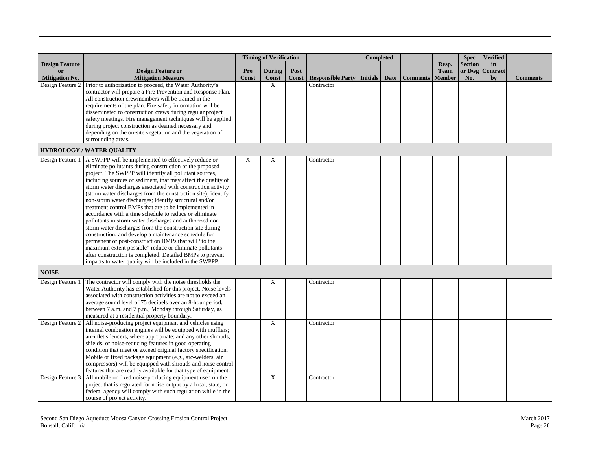|                       |                                                                                                                               |              | <b>Timing of Verification</b> |       |                                     | <b>Completed</b> |             |                 |               | <b>Spec</b>    | <b>Verified</b> |                 |
|-----------------------|-------------------------------------------------------------------------------------------------------------------------------|--------------|-------------------------------|-------|-------------------------------------|------------------|-------------|-----------------|---------------|----------------|-----------------|-----------------|
| <b>Design Feature</b> |                                                                                                                               |              |                               |       |                                     |                  |             |                 | Resp.         | <b>Section</b> | in              |                 |
| or                    | <b>Design Feature or</b>                                                                                                      | <b>Pre</b>   | <b>During</b>                 | Post  |                                     |                  |             |                 | <b>Team</b>   | or Dwg         | Contract        |                 |
| <b>Mitigation No.</b> | <b>Mitigation Measure</b>                                                                                                     | <b>Const</b> | <b>Const</b>                  | Const | <b>Responsible Party   Initials</b> |                  | <b>Date</b> | <b>Comments</b> | <b>Member</b> | No.            | by              | <b>Comments</b> |
| Design Feature 2      | Prior to authorization to proceed, the Water Authority's                                                                      |              | $\mathbf X$                   |       | Contractor                          |                  |             |                 |               |                |                 |                 |
|                       | contractor will prepare a Fire Prevention and Response Plan.                                                                  |              |                               |       |                                     |                  |             |                 |               |                |                 |                 |
|                       | All construction crewmembers will be trained in the                                                                           |              |                               |       |                                     |                  |             |                 |               |                |                 |                 |
|                       | requirements of the plan. Fire safety information will be                                                                     |              |                               |       |                                     |                  |             |                 |               |                |                 |                 |
|                       | disseminated to construction crews during regular project                                                                     |              |                               |       |                                     |                  |             |                 |               |                |                 |                 |
|                       | safety meetings. Fire management techniques will be applied                                                                   |              |                               |       |                                     |                  |             |                 |               |                |                 |                 |
|                       | during project construction as deemed necessary and                                                                           |              |                               |       |                                     |                  |             |                 |               |                |                 |                 |
|                       | depending on the on-site vegetation and the vegetation of<br>surrounding areas.                                               |              |                               |       |                                     |                  |             |                 |               |                |                 |                 |
|                       |                                                                                                                               |              |                               |       |                                     |                  |             |                 |               |                |                 |                 |
|                       | <b>HYDROLOGY / WATER QUALITY</b>                                                                                              |              |                               |       |                                     |                  |             |                 |               |                |                 |                 |
|                       | Design Feature 1   A SWPPP will be implemented to effectively reduce or                                                       | $\mathbf X$  | X                             |       | Contractor                          |                  |             |                 |               |                |                 |                 |
|                       | eliminate pollutants during construction of the proposed                                                                      |              |                               |       |                                     |                  |             |                 |               |                |                 |                 |
|                       | project. The SWPPP will identify all pollutant sources,                                                                       |              |                               |       |                                     |                  |             |                 |               |                |                 |                 |
|                       | including sources of sediment, that may affect the quality of<br>storm water discharges associated with construction activity |              |                               |       |                                     |                  |             |                 |               |                |                 |                 |
|                       | (storm water discharges from the construction site); identify                                                                 |              |                               |       |                                     |                  |             |                 |               |                |                 |                 |
|                       | non-storm water discharges; identify structural and/or                                                                        |              |                               |       |                                     |                  |             |                 |               |                |                 |                 |
|                       | treatment control BMPs that are to be implemented in                                                                          |              |                               |       |                                     |                  |             |                 |               |                |                 |                 |
|                       | accordance with a time schedule to reduce or eliminate                                                                        |              |                               |       |                                     |                  |             |                 |               |                |                 |                 |
|                       | pollutants in storm water discharges and authorized non-                                                                      |              |                               |       |                                     |                  |             |                 |               |                |                 |                 |
|                       | storm water discharges from the construction site during                                                                      |              |                               |       |                                     |                  |             |                 |               |                |                 |                 |
|                       | construction; and develop a maintenance schedule for                                                                          |              |                               |       |                                     |                  |             |                 |               |                |                 |                 |
|                       | permanent or post-construction BMPs that will "to the                                                                         |              |                               |       |                                     |                  |             |                 |               |                |                 |                 |
|                       | maximum extent possible" reduce or eliminate pollutants                                                                       |              |                               |       |                                     |                  |             |                 |               |                |                 |                 |
|                       | after construction is completed. Detailed BMPs to prevent                                                                     |              |                               |       |                                     |                  |             |                 |               |                |                 |                 |
|                       | impacts to water quality will be included in the SWPPP.                                                                       |              |                               |       |                                     |                  |             |                 |               |                |                 |                 |
| <b>NOISE</b>          |                                                                                                                               |              |                               |       |                                     |                  |             |                 |               |                |                 |                 |
| Design Feature 1      | The contractor will comply with the noise thresholds the                                                                      |              | X                             |       | Contractor                          |                  |             |                 |               |                |                 |                 |
|                       | Water Authority has established for this project. Noise levels                                                                |              |                               |       |                                     |                  |             |                 |               |                |                 |                 |
|                       | associated with construction activities are not to exceed an                                                                  |              |                               |       |                                     |                  |             |                 |               |                |                 |                 |
|                       | average sound level of 75 decibels over an 8-hour period,                                                                     |              |                               |       |                                     |                  |             |                 |               |                |                 |                 |
|                       | between 7 a.m. and 7 p.m., Monday through Saturday, as                                                                        |              |                               |       |                                     |                  |             |                 |               |                |                 |                 |
|                       | measured at a residential property boundary.                                                                                  |              |                               |       |                                     |                  |             |                 |               |                |                 |                 |
| Design Feature 2      | All noise-producing project equipment and vehicles using<br>internal combustion engines will be equipped with mufflers;       |              | X                             |       | Contractor                          |                  |             |                 |               |                |                 |                 |
|                       | air-inlet silencers, where appropriate; and any other shrouds,                                                                |              |                               |       |                                     |                  |             |                 |               |                |                 |                 |
|                       | shields, or noise-reducing features in good operating                                                                         |              |                               |       |                                     |                  |             |                 |               |                |                 |                 |
|                       | condition that meet or exceed original factory specification.                                                                 |              |                               |       |                                     |                  |             |                 |               |                |                 |                 |
|                       | Mobile or fixed package equipment (e.g., arc-welders, air                                                                     |              |                               |       |                                     |                  |             |                 |               |                |                 |                 |
|                       | compressors) will be equipped with shrouds and noise control                                                                  |              |                               |       |                                     |                  |             |                 |               |                |                 |                 |
|                       | features that are readily available for that type of equipment.                                                               |              |                               |       |                                     |                  |             |                 |               |                |                 |                 |
| Design Feature 3      | All mobile or fixed noise-producing equipment used on the                                                                     |              | $\mathbf X$                   |       | Contractor                          |                  |             |                 |               |                |                 |                 |
|                       | project that is regulated for noise output by a local, state, or                                                              |              |                               |       |                                     |                  |             |                 |               |                |                 |                 |
|                       | federal agency will comply with such regulation while in the                                                                  |              |                               |       |                                     |                  |             |                 |               |                |                 |                 |
|                       | course of project activity.                                                                                                   |              |                               |       |                                     |                  |             |                 |               |                |                 |                 |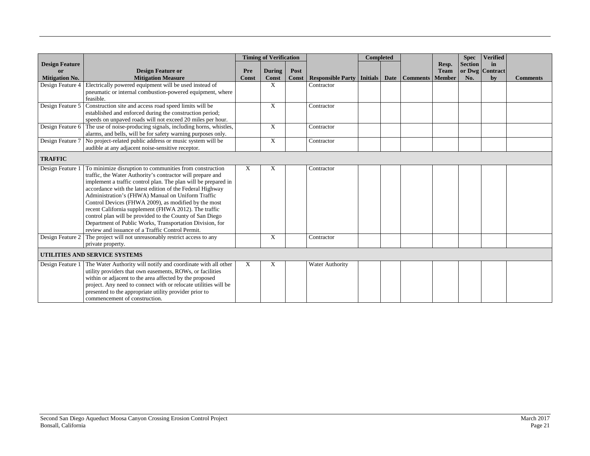|                       |                                                                                 |              | <b>Timing of Verification</b> |              |                          | <b>Completed</b> |             |                 |               | <b>Spec</b>    | <b>Verified</b> |                 |
|-----------------------|---------------------------------------------------------------------------------|--------------|-------------------------------|--------------|--------------------------|------------------|-------------|-----------------|---------------|----------------|-----------------|-----------------|
| <b>Design Feature</b> |                                                                                 |              |                               |              |                          |                  |             |                 | Resp.         | <b>Section</b> | in              |                 |
| or                    | <b>Design Feature or</b>                                                        | Pre          | During                        | Post         |                          |                  |             |                 | <b>Team</b>   |                | or Dwg Contract |                 |
| <b>Mitigation No.</b> | <b>Mitigation Measure</b>                                                       | <b>Const</b> | Const                         | <b>Const</b> | <b>Responsible Party</b> | Initials         | <b>Date</b> | <b>Comments</b> | <b>Member</b> | No.            | by              | <b>Comments</b> |
| Design Feature 4      | Electrically powered equipment will be used instead of                          |              | X                             |              | Contractor               |                  |             |                 |               |                |                 |                 |
|                       | pneumatic or internal combustion-powered equipment, where                       |              |                               |              |                          |                  |             |                 |               |                |                 |                 |
|                       | feasible.                                                                       |              |                               |              |                          |                  |             |                 |               |                |                 |                 |
| Design Feature 5      | Construction site and access road speed limits will be                          |              | X                             |              | Contractor               |                  |             |                 |               |                |                 |                 |
|                       | established and enforced during the construction period;                        |              |                               |              |                          |                  |             |                 |               |                |                 |                 |
|                       | speeds on unpaved roads will not exceed 20 miles per hour.                      |              |                               |              |                          |                  |             |                 |               |                |                 |                 |
|                       | Design Feature 6 The use of noise-producing signals, including horns, whistles, |              | $\mathbf X$                   |              | Contractor               |                  |             |                 |               |                |                 |                 |
|                       | alarms, and bells, will be for safety warning purposes only.                    |              |                               |              |                          |                  |             |                 |               |                |                 |                 |
| Design Feature 7      | No project-related public address or music system will be                       |              | X                             |              | Contractor               |                  |             |                 |               |                |                 |                 |
|                       | audible at any adjacent noise-sensitive receptor.                               |              |                               |              |                          |                  |             |                 |               |                |                 |                 |
| <b>TRAFFIC</b>        |                                                                                 |              |                               |              |                          |                  |             |                 |               |                |                 |                 |
| Design Feature        | To minimize disruption to communities from construction                         | X            | $\mathbf X$                   |              | Contractor               |                  |             |                 |               |                |                 |                 |
|                       | traffic, the Water Authority's contractor will prepare and                      |              |                               |              |                          |                  |             |                 |               |                |                 |                 |
|                       | implement a traffic control plan. The plan will be prepared in                  |              |                               |              |                          |                  |             |                 |               |                |                 |                 |
|                       | accordance with the latest edition of the Federal Highway                       |              |                               |              |                          |                  |             |                 |               |                |                 |                 |
|                       | Administration's (FHWA) Manual on Uniform Traffic                               |              |                               |              |                          |                  |             |                 |               |                |                 |                 |
|                       | Control Devices (FHWA 2009), as modified by the most                            |              |                               |              |                          |                  |             |                 |               |                |                 |                 |
|                       | recent California supplement (FHWA 2012). The traffic                           |              |                               |              |                          |                  |             |                 |               |                |                 |                 |
|                       | control plan will be provided to the County of San Diego                        |              |                               |              |                          |                  |             |                 |               |                |                 |                 |
|                       | Department of Public Works, Transportation Division, for                        |              |                               |              |                          |                  |             |                 |               |                |                 |                 |
|                       | review and issuance of a Traffic Control Permit.                                |              |                               |              |                          |                  |             |                 |               |                |                 |                 |
| Design Feature 2      | The project will not unreasonably restrict access to any                        |              | X                             |              | Contractor               |                  |             |                 |               |                |                 |                 |
|                       | private property.                                                               |              |                               |              |                          |                  |             |                 |               |                |                 |                 |
|                       | UTILITIES AND SERVICE SYSTEMS                                                   |              |                               |              |                          |                  |             |                 |               |                |                 |                 |
| Design Feature 1      | The Water Authority will notify and coordinate with all other                   | X            | X                             |              | <b>Water Authority</b>   |                  |             |                 |               |                |                 |                 |
|                       | utility providers that own easements, ROWs, or facilities                       |              |                               |              |                          |                  |             |                 |               |                |                 |                 |
|                       | within or adjacent to the area affected by the proposed                         |              |                               |              |                          |                  |             |                 |               |                |                 |                 |
|                       | project. Any need to connect with or relocate utilities will be                 |              |                               |              |                          |                  |             |                 |               |                |                 |                 |
|                       | presented to the appropriate utility provider prior to                          |              |                               |              |                          |                  |             |                 |               |                |                 |                 |
|                       | commencement of construction.                                                   |              |                               |              |                          |                  |             |                 |               |                |                 |                 |